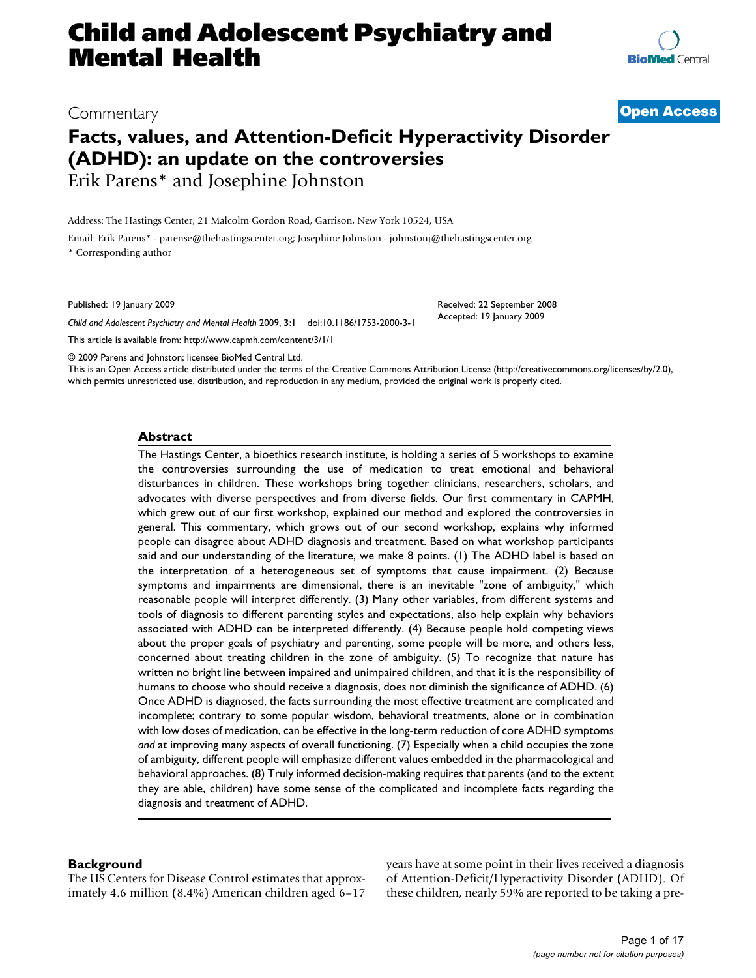# **Child and Adolescent Psychiatry and Mental Health**

## Commentary **[Open Access](http://www.biomedcentral.com/info/about/charter/)**

# **Facts, values, and Attention-Deficit Hyperactivity Disorder (ADHD): an update on the controversies** Erik Parens\* and Josephine Johnston

Address: The Hastings Center, 21 Malcolm Gordon Road, Garrison, New York 10524, USA

Email: Erik Parens\* - parense@thehastingscenter.org; Josephine Johnston - johnstonj@thehastingscenter.org \* Corresponding author

Published: 19 January 2009

*Child and Adolescent Psychiatry and Mental Health* 2009, **3**:1 doi:10.1186/1753-2000-3-1

[This article is available from: http://www.capmh.com/content/3/1/1](http://www.capmh.com/content/3/1/1)

#### © 2009 Parens and Johnston; licensee BioMed Central Ltd.

This is an Open Access article distributed under the terms of the Creative Commons Attribution License [\(http://creativecommons.org/licenses/by/2.0\)](http://creativecommons.org/licenses/by/2.0), which permits unrestricted use, distribution, and reproduction in any medium, provided the original work is properly cited.

#### **Abstract**

The Hastings Center, a bioethics research institute, is holding a series of 5 workshops to examine the controversies surrounding the use of medication to treat emotional and behavioral disturbances in children. These workshops bring together clinicians, researchers, scholars, and advocates with diverse perspectives and from diverse fields. Our first commentary in CAPMH, which grew out of our first workshop, explained our method and explored the controversies in general. This commentary, which grows out of our second workshop, explains why informed people can disagree about ADHD diagnosis and treatment. Based on what workshop participants said and our understanding of the literature, we make 8 points. (1) The ADHD label is based on the interpretation of a heterogeneous set of symptoms that cause impairment. (2) Because symptoms and impairments are dimensional, there is an inevitable "zone of ambiguity," which reasonable people will interpret differently. (3) Many other variables, from different systems and tools of diagnosis to different parenting styles and expectations, also help explain why behaviors associated with ADHD can be interpreted differently. (4) Because people hold competing views about the proper goals of psychiatry and parenting, some people will be more, and others less, concerned about treating children in the zone of ambiguity. (5) To recognize that nature has written no bright line between impaired and unimpaired children, and that it is the responsibility of humans to choose who should receive a diagnosis, does not diminish the significance of ADHD. (6) Once ADHD is diagnosed, the facts surrounding the most effective treatment are complicated and incomplete; contrary to some popular wisdom, behavioral treatments, alone or in combination with low doses of medication, can be effective in the long-term reduction of core ADHD symptoms *and* at improving many aspects of overall functioning. (7) Especially when a child occupies the zone of ambiguity, different people will emphasize different values embedded in the pharmacological and behavioral approaches. (8) Truly informed decision-making requires that parents (and to the extent they are able, children) have some sense of the complicated and incomplete facts regarding the diagnosis and treatment of ADHD.

### **Background**

The US Centers for Disease Control estimates that approximately 4.6 million (8.4%) American children aged 6–17 years have at some point in their lives received a diagnosis of Attention-Deficit/Hyperactivity Disorder (ADHD). Of these children, nearly 59% are reported to be taking a pre-

Received: 22 September 2008 Accepted: 19 January 2009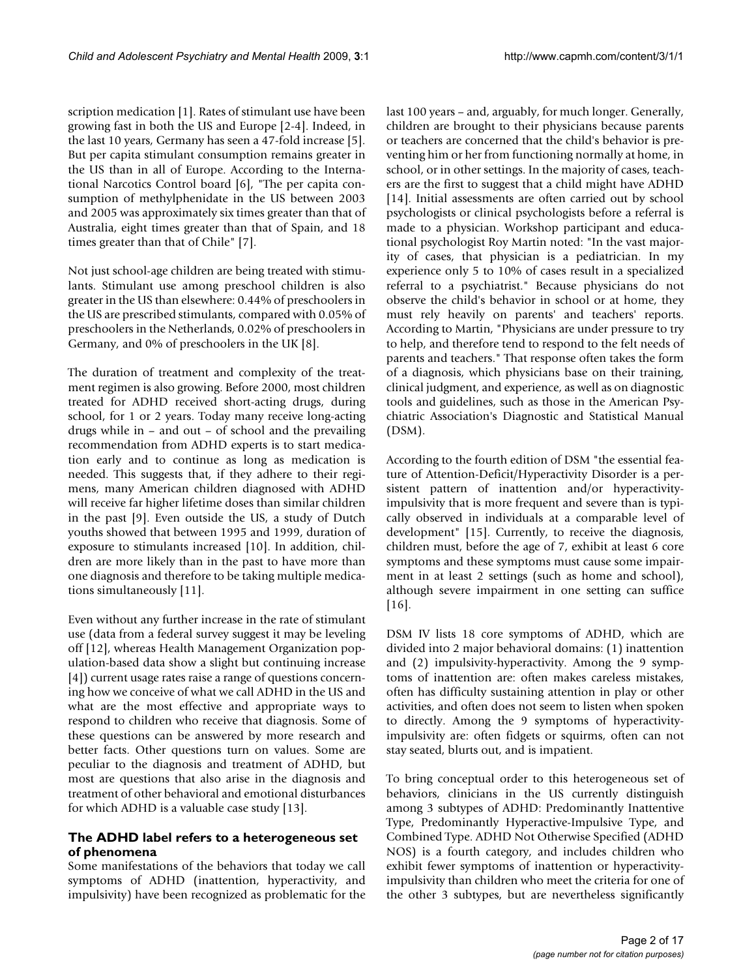scription medication [1]. Rates of stimulant use have been growing fast in both the US and Europe [2-4]. Indeed, in the last 10 years, Germany has seen a 47-fold increase [5]. But per capita stimulant consumption remains greater in the US than in all of Europe. According to the International Narcotics Control board [6], "The per capita consumption of methylphenidate in the US between 2003 and 2005 was approximately six times greater than that of Australia, eight times greater than that of Spain, and 18 times greater than that of Chile" [7].

Not just school-age children are being treated with stimulants. Stimulant use among preschool children is also greater in the US than elsewhere: 0.44% of preschoolers in the US are prescribed stimulants, compared with 0.05% of preschoolers in the Netherlands, 0.02% of preschoolers in Germany, and 0% of preschoolers in the UK [8].

The duration of treatment and complexity of the treatment regimen is also growing. Before 2000, most children treated for ADHD received short-acting drugs, during school, for 1 or 2 years. Today many receive long-acting drugs while in – and out – of school and the prevailing recommendation from ADHD experts is to start medication early and to continue as long as medication is needed. This suggests that, if they adhere to their regimens, many American children diagnosed with ADHD will receive far higher lifetime doses than similar children in the past [9]. Even outside the US, a study of Dutch youths showed that between 1995 and 1999, duration of exposure to stimulants increased [10]. In addition, children are more likely than in the past to have more than one diagnosis and therefore to be taking multiple medications simultaneously [11].

Even without any further increase in the rate of stimulant use (data from a federal survey suggest it may be leveling off [12], whereas Health Management Organization population-based data show a slight but continuing increase [4]) current usage rates raise a range of questions concerning how we conceive of what we call ADHD in the US and what are the most effective and appropriate ways to respond to children who receive that diagnosis. Some of these questions can be answered by more research and better facts. Other questions turn on values. Some are peculiar to the diagnosis and treatment of ADHD, but most are questions that also arise in the diagnosis and treatment of other behavioral and emotional disturbances for which ADHD is a valuable case study [13].

## **The ADHD label refers to a heterogeneous set of phenomena**

Some manifestations of the behaviors that today we call symptoms of ADHD (inattention, hyperactivity, and impulsivity) have been recognized as problematic for the last 100 years – and, arguably, for much longer. Generally, children are brought to their physicians because parents or teachers are concerned that the child's behavior is preventing him or her from functioning normally at home, in school, or in other settings. In the majority of cases, teachers are the first to suggest that a child might have ADHD [14]. Initial assessments are often carried out by school psychologists or clinical psychologists before a referral is made to a physician. Workshop participant and educational psychologist Roy Martin noted: "In the vast majority of cases, that physician is a pediatrician. In my experience only 5 to 10% of cases result in a specialized referral to a psychiatrist." Because physicians do not observe the child's behavior in school or at home, they must rely heavily on parents' and teachers' reports. According to Martin, "Physicians are under pressure to try to help, and therefore tend to respond to the felt needs of parents and teachers." That response often takes the form of a diagnosis, which physicians base on their training, clinical judgment, and experience, as well as on diagnostic tools and guidelines, such as those in the American Psychiatric Association's Diagnostic and Statistical Manual (DSM).

According to the fourth edition of DSM "the essential feature of Attention-Deficit/Hyperactivity Disorder is a persistent pattern of inattention and/or hyperactivityimpulsivity that is more frequent and severe than is typically observed in individuals at a comparable level of development" [15]. Currently, to receive the diagnosis, children must, before the age of 7, exhibit at least 6 core symptoms and these symptoms must cause some impairment in at least 2 settings (such as home and school), although severe impairment in one setting can suffice [16].

DSM IV lists 18 core symptoms of ADHD, which are divided into 2 major behavioral domains: (1) inattention and (2) impulsivity-hyperactivity. Among the 9 symptoms of inattention are: often makes careless mistakes, often has difficulty sustaining attention in play or other activities, and often does not seem to listen when spoken to directly. Among the 9 symptoms of hyperactivityimpulsivity are: often fidgets or squirms, often can not stay seated, blurts out, and is impatient.

To bring conceptual order to this heterogeneous set of behaviors, clinicians in the US currently distinguish among 3 subtypes of ADHD: Predominantly Inattentive Type, Predominantly Hyperactive-Impulsive Type, and Combined Type. ADHD Not Otherwise Specified (ADHD NOS) is a fourth category, and includes children who exhibit fewer symptoms of inattention or hyperactivityimpulsivity than children who meet the criteria for one of the other 3 subtypes, but are nevertheless significantly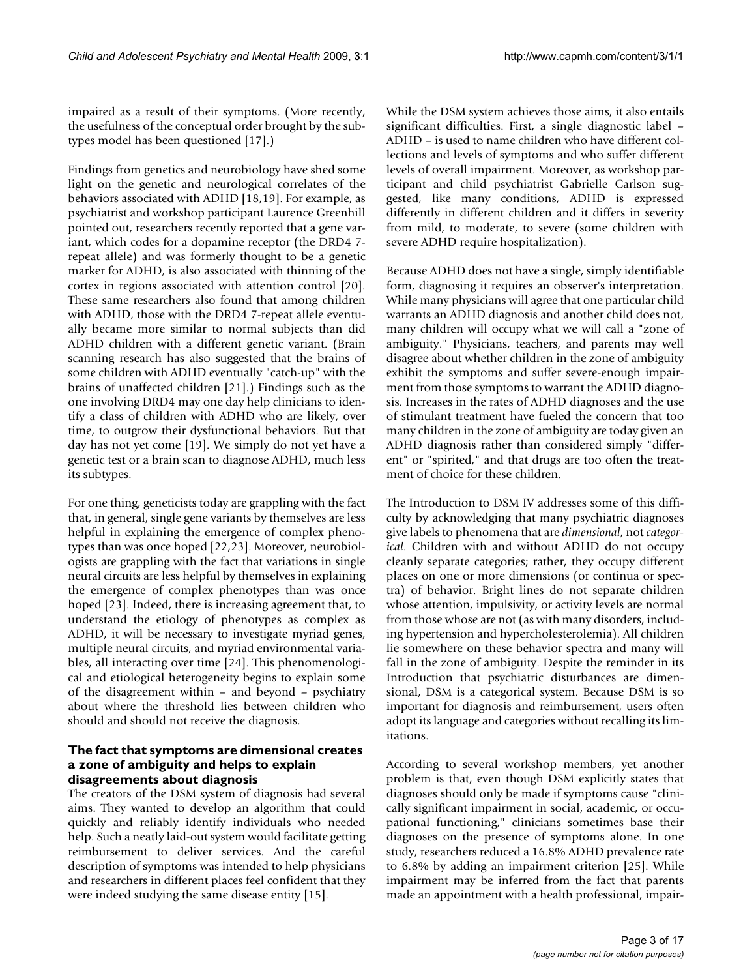impaired as a result of their symptoms. (More recently, the usefulness of the conceptual order brought by the subtypes model has been questioned [17].)

Findings from genetics and neurobiology have shed some light on the genetic and neurological correlates of the behaviors associated with ADHD [18,19]. For example, as psychiatrist and workshop participant Laurence Greenhill pointed out, researchers recently reported that a gene variant, which codes for a dopamine receptor (the DRD4 7 repeat allele) and was formerly thought to be a genetic marker for ADHD, is also associated with thinning of the cortex in regions associated with attention control [20]. These same researchers also found that among children with ADHD, those with the DRD4 7-repeat allele eventually became more similar to normal subjects than did ADHD children with a different genetic variant. (Brain scanning research has also suggested that the brains of some children with ADHD eventually "catch-up" with the brains of unaffected children [21].) Findings such as the one involving DRD4 may one day help clinicians to identify a class of children with ADHD who are likely, over time, to outgrow their dysfunctional behaviors. But that day has not yet come [19]. We simply do not yet have a genetic test or a brain scan to diagnose ADHD, much less its subtypes.

For one thing, geneticists today are grappling with the fact that, in general, single gene variants by themselves are less helpful in explaining the emergence of complex phenotypes than was once hoped [22,23]. Moreover, neurobiologists are grappling with the fact that variations in single neural circuits are less helpful by themselves in explaining the emergence of complex phenotypes than was once hoped [23]. Indeed, there is increasing agreement that, to understand the etiology of phenotypes as complex as ADHD, it will be necessary to investigate myriad genes, multiple neural circuits, and myriad environmental variables, all interacting over time [24]. This phenomenological and etiological heterogeneity begins to explain some of the disagreement within – and beyond – psychiatry about where the threshold lies between children who should and should not receive the diagnosis.

## **The fact that symptoms are dimensional creates a zone of ambiguity and helps to explain disagreements about diagnosis**

The creators of the DSM system of diagnosis had several aims. They wanted to develop an algorithm that could quickly and reliably identify individuals who needed help. Such a neatly laid-out system would facilitate getting reimbursement to deliver services. And the careful description of symptoms was intended to help physicians and researchers in different places feel confident that they were indeed studying the same disease entity [15].

While the DSM system achieves those aims, it also entails significant difficulties. First, a single diagnostic label – ADHD – is used to name children who have different collections and levels of symptoms and who suffer different levels of overall impairment. Moreover, as workshop participant and child psychiatrist Gabrielle Carlson suggested, like many conditions, ADHD is expressed differently in different children and it differs in severity from mild, to moderate, to severe (some children with severe ADHD require hospitalization).

Because ADHD does not have a single, simply identifiable form, diagnosing it requires an observer's interpretation. While many physicians will agree that one particular child warrants an ADHD diagnosis and another child does not, many children will occupy what we will call a "zone of ambiguity." Physicians, teachers, and parents may well disagree about whether children in the zone of ambiguity exhibit the symptoms and suffer severe-enough impairment from those symptoms to warrant the ADHD diagnosis. Increases in the rates of ADHD diagnoses and the use of stimulant treatment have fueled the concern that too many children in the zone of ambiguity are today given an ADHD diagnosis rather than considered simply "different" or "spirited," and that drugs are too often the treatment of choice for these children.

The Introduction to DSM IV addresses some of this difficulty by acknowledging that many psychiatric diagnoses give labels to phenomena that are *dimensional*, not *categorical*. Children with and without ADHD do not occupy cleanly separate categories; rather, they occupy different places on one or more dimensions (or continua or spectra) of behavior. Bright lines do not separate children whose attention, impulsivity, or activity levels are normal from those whose are not (as with many disorders, including hypertension and hypercholesterolemia). All children lie somewhere on these behavior spectra and many will fall in the zone of ambiguity. Despite the reminder in its Introduction that psychiatric disturbances are dimensional, DSM is a categorical system. Because DSM is so important for diagnosis and reimbursement, users often adopt its language and categories without recalling its limitations.

According to several workshop members, yet another problem is that, even though DSM explicitly states that diagnoses should only be made if symptoms cause "clinically significant impairment in social, academic, or occupational functioning," clinicians sometimes base their diagnoses on the presence of symptoms alone. In one study, researchers reduced a 16.8% ADHD prevalence rate to 6.8% by adding an impairment criterion [25]. While impairment may be inferred from the fact that parents made an appointment with a health professional, impair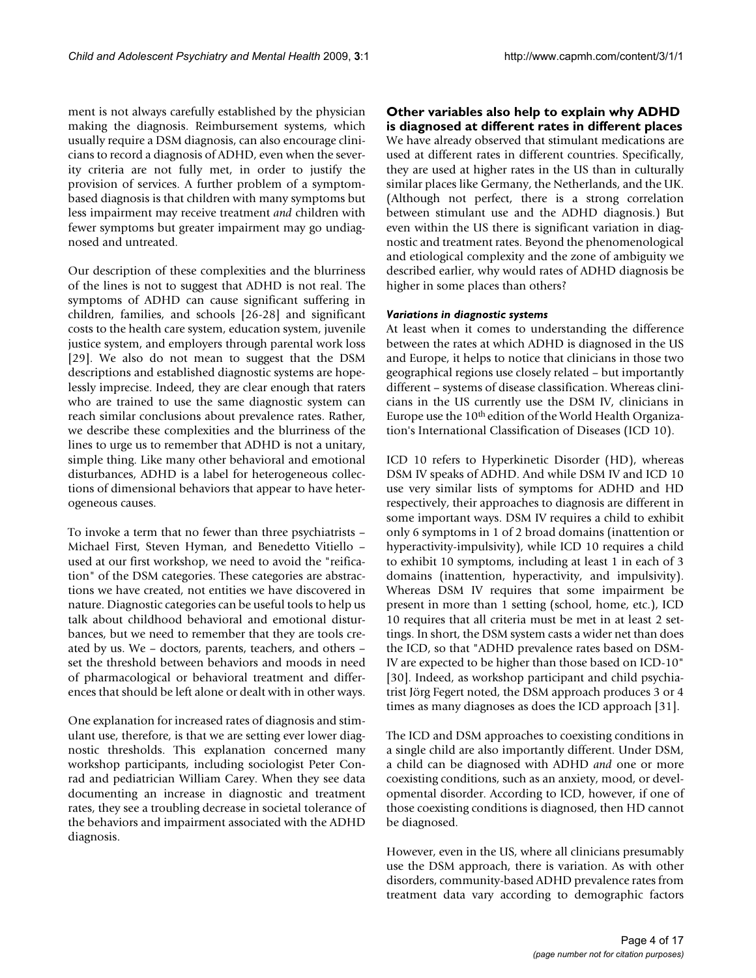ment is not always carefully established by the physician making the diagnosis. Reimbursement systems, which usually require a DSM diagnosis, can also encourage clinicians to record a diagnosis of ADHD, even when the severity criteria are not fully met, in order to justify the provision of services. A further problem of a symptombased diagnosis is that children with many symptoms but less impairment may receive treatment *and* children with fewer symptoms but greater impairment may go undiagnosed and untreated.

Our description of these complexities and the blurriness of the lines is not to suggest that ADHD is not real. The symptoms of ADHD can cause significant suffering in children, families, and schools [26-28] and significant costs to the health care system, education system, juvenile justice system, and employers through parental work loss [29]. We also do not mean to suggest that the DSM descriptions and established diagnostic systems are hopelessly imprecise. Indeed, they are clear enough that raters who are trained to use the same diagnostic system can reach similar conclusions about prevalence rates. Rather, we describe these complexities and the blurriness of the lines to urge us to remember that ADHD is not a unitary, simple thing. Like many other behavioral and emotional disturbances, ADHD is a label for heterogeneous collections of dimensional behaviors that appear to have heterogeneous causes.

To invoke a term that no fewer than three psychiatrists – Michael First, Steven Hyman, and Benedetto Vitiello – used at our first workshop, we need to avoid the "reification" of the DSM categories. These categories are abstractions we have created, not entities we have discovered in nature. Diagnostic categories can be useful tools to help us talk about childhood behavioral and emotional disturbances, but we need to remember that they are tools created by us. We – doctors, parents, teachers, and others – set the threshold between behaviors and moods in need of pharmacological or behavioral treatment and differences that should be left alone or dealt with in other ways.

One explanation for increased rates of diagnosis and stimulant use, therefore, is that we are setting ever lower diagnostic thresholds. This explanation concerned many workshop participants, including sociologist Peter Conrad and pediatrician William Carey. When they see data documenting an increase in diagnostic and treatment rates, they see a troubling decrease in societal tolerance of the behaviors and impairment associated with the ADHD diagnosis.

## **Other variables also help to explain why ADHD**

**is diagnosed at different rates in different places** We have already observed that stimulant medications are used at different rates in different countries. Specifically, they are used at higher rates in the US than in culturally similar places like Germany, the Netherlands, and the UK. (Although not perfect, there is a strong correlation between stimulant use and the ADHD diagnosis.) But even within the US there is significant variation in diagnostic and treatment rates. Beyond the phenomenological and etiological complexity and the zone of ambiguity we described earlier, why would rates of ADHD diagnosis be higher in some places than others?

### *Variations in diagnostic systems*

At least when it comes to understanding the difference between the rates at which ADHD is diagnosed in the US and Europe, it helps to notice that clinicians in those two geographical regions use closely related – but importantly different – systems of disease classification. Whereas clinicians in the US currently use the DSM IV, clinicians in Europe use the 10<sup>th</sup> edition of the World Health Organization's International Classification of Diseases (ICD 10).

ICD 10 refers to Hyperkinetic Disorder (HD), whereas DSM IV speaks of ADHD. And while DSM IV and ICD 10 use very similar lists of symptoms for ADHD and HD respectively, their approaches to diagnosis are different in some important ways. DSM IV requires a child to exhibit only 6 symptoms in 1 of 2 broad domains (inattention or hyperactivity-impulsivity), while ICD 10 requires a child to exhibit 10 symptoms, including at least 1 in each of 3 domains (inattention, hyperactivity, and impulsivity). Whereas DSM IV requires that some impairment be present in more than 1 setting (school, home, etc.), ICD 10 requires that all criteria must be met in at least 2 settings. In short, the DSM system casts a wider net than does the ICD, so that "ADHD prevalence rates based on DSM-IV are expected to be higher than those based on ICD-10" [30]. Indeed, as workshop participant and child psychiatrist Jörg Fegert noted, the DSM approach produces 3 or 4 times as many diagnoses as does the ICD approach [31].

The ICD and DSM approaches to coexisting conditions in a single child are also importantly different. Under DSM, a child can be diagnosed with ADHD *and* one or more coexisting conditions, such as an anxiety, mood, or developmental disorder. According to ICD, however, if one of those coexisting conditions is diagnosed, then HD cannot be diagnosed.

However, even in the US, where all clinicians presumably use the DSM approach, there is variation. As with other disorders, community-based ADHD prevalence rates from treatment data vary according to demographic factors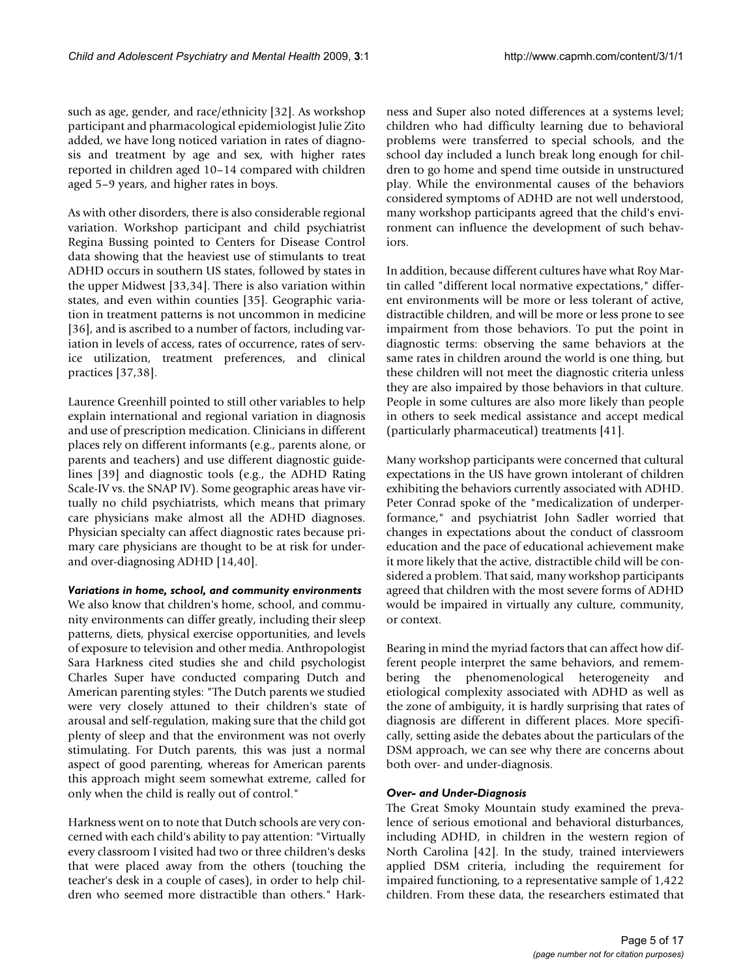such as age, gender, and race/ethnicity [32]. As workshop participant and pharmacological epidemiologist Julie Zito added, we have long noticed variation in rates of diagnosis and treatment by age and sex, with higher rates reported in children aged 10–14 compared with children aged 5–9 years, and higher rates in boys.

As with other disorders, there is also considerable regional variation. Workshop participant and child psychiatrist Regina Bussing pointed to Centers for Disease Control data showing that the heaviest use of stimulants to treat ADHD occurs in southern US states, followed by states in the upper Midwest [33,[34](#page-15-0)]. There is also variation within states, and even within counties [35]. Geographic variation in treatment patterns is not uncommon in medicine [36], and is ascribed to a number of factors, including variation in levels of access, rates of occurrence, rates of service utilization, treatment preferences, and clinical practices [37,38].

Laurence Greenhill pointed to still other variables to help explain international and regional variation in diagnosis and use of prescription medication. Clinicians in different places rely on different informants (e.g., parents alone, or parents and teachers) and use different diagnostic guidelines [39] and diagnostic tools (e.g., the ADHD Rating Scale-IV vs. the SNAP IV). Some geographic areas have virtually no child psychiatrists, which means that primary care physicians make almost all the ADHD diagnoses. Physician specialty can affect diagnostic rates because primary care physicians are thought to be at risk for underand over-diagnosing ADHD [14,40].

### *Variations in home, school, and community environments*

We also know that children's home, school, and community environments can differ greatly, including their sleep patterns, diets, physical exercise opportunities, and levels of exposure to television and other media. Anthropologist Sara Harkness cited studies she and child psychologist Charles Super have conducted comparing Dutch and American parenting styles: "The Dutch parents we studied were very closely attuned to their children's state of arousal and self-regulation, making sure that the child got plenty of sleep and that the environment was not overly stimulating. For Dutch parents, this was just a normal aspect of good parenting, whereas for American parents this approach might seem somewhat extreme, called for only when the child is really out of control."

Harkness went on to note that Dutch schools are very concerned with each child's ability to pay attention: "Virtually every classroom I visited had two or three children's desks that were placed away from the others (touching the teacher's desk in a couple of cases), in order to help children who seemed more distractible than others." Harkness and Super also noted differences at a systems level; children who had difficulty learning due to behavioral problems were transferred to special schools, and the school day included a lunch break long enough for children to go home and spend time outside in unstructured play. While the environmental causes of the behaviors considered symptoms of ADHD are not well understood, many workshop participants agreed that the child's environment can influence the development of such behaviors.

In addition, because different cultures have what Roy Martin called "different local normative expectations," different environments will be more or less tolerant of active, distractible children, and will be more or less prone to see impairment from those behaviors. To put the point in diagnostic terms: observing the same behaviors at the same rates in children around the world is one thing, but these children will not meet the diagnostic criteria unless they are also impaired by those behaviors in that culture. People in some cultures are also more likely than people in others to seek medical assistance and accept medical (particularly pharmaceutical) treatments [41].

Many workshop participants were concerned that cultural expectations in the US have grown intolerant of children exhibiting the behaviors currently associated with ADHD. Peter Conrad spoke of the "medicalization of underperformance," and psychiatrist John Sadler worried that changes in expectations about the conduct of classroom education and the pace of educational achievement make it more likely that the active, distractible child will be considered a problem. That said, many workshop participants agreed that children with the most severe forms of ADHD would be impaired in virtually any culture, community, or context.

Bearing in mind the myriad factors that can affect how different people interpret the same behaviors, and remembering the phenomenological heterogeneity and etiological complexity associated with ADHD as well as the zone of ambiguity, it is hardly surprising that rates of diagnosis are different in different places. More specifically, setting aside the debates about the particulars of the DSM approach, we can see why there are concerns about both over- and under-diagnosis.

### *Over- and Under-Diagnosis*

The Great Smoky Mountain study examined the prevalence of serious emotional and behavioral disturbances, including ADHD, in children in the western region of North Carolina [42]. In the study, trained interviewers applied DSM criteria, including the requirement for impaired functioning, to a representative sample of 1,422 children. From these data, the researchers estimated that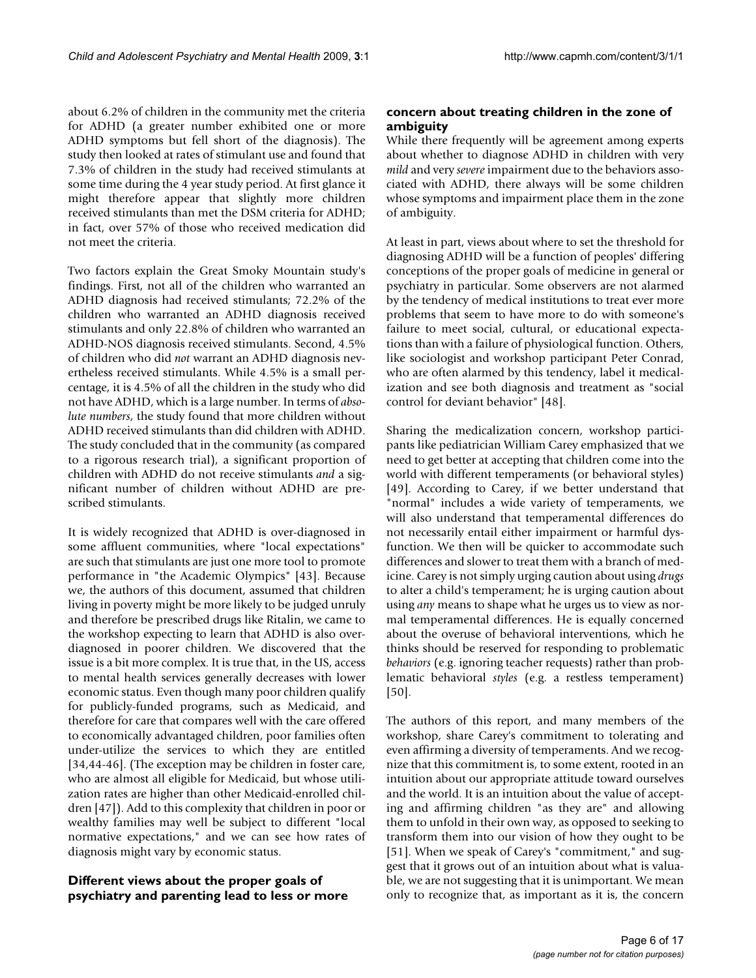about 6.2% of children in the community met the criteria for ADHD (a greater number exhibited one or more ADHD symptoms but fell short of the diagnosis). The study then looked at rates of stimulant use and found that 7.3% of children in the study had received stimulants at some time during the 4 year study period. At first glance it might therefore appear that slightly more children received stimulants than met the DSM criteria for ADHD; in fact, over 57% of those who received medication did not meet the criteria.

Two factors explain the Great Smoky Mountain study's findings. First, not all of the children who warranted an ADHD diagnosis had received stimulants; 72.2% of the children who warranted an ADHD diagnosis received stimulants and only 22.8% of children who warranted an ADHD-NOS diagnosis received stimulants. Second, 4.5% of children who did *not* warrant an ADHD diagnosis nevertheless received stimulants. While 4.5% is a small percentage, it is 4.5% of all the children in the study who did not have ADHD, which is a large number. In terms of *absolute numbers*, the study found that more children without ADHD received stimulants than did children with ADHD. The study concluded that in the community (as compared to a rigorous research trial), a significant proportion of children with ADHD do not receive stimulants *and* a significant number of children without ADHD are prescribed stimulants.

It is widely recognized that ADHD is over-diagnosed in some affluent communities, where "local expectations" are such that stimulants are just one more tool to promote performance in "the Academic Olympics" [43]. Because we, the authors of this document, assumed that children living in poverty might be more likely to be judged unruly and therefore be prescribed drugs like Ritalin, we came to the workshop expecting to learn that ADHD is also overdiagnosed in poorer children. We discovered that the issue is a bit more complex. It is true that, in the US, access to mental health services generally decreases with lower economic status. Even though many poor children qualify for publicly-funded programs, such as Medicaid, and therefore for care that compares well with the care offered to economically advantaged children, poor families often under-utilize the services to which they are entitled [[34](#page-15-0),44-46]. (The exception may be children in foster care, who are almost all eligible for Medicaid, but whose utilization rates are higher than other Medicaid-enrolled children [47]). Add to this complexity that children in poor or wealthy families may well be subject to different "local normative expectations," and we can see how rates of diagnosis might vary by economic status.

## **Different views about the proper goals of psychiatry and parenting lead to less or more**

## **concern about treating children in the zone of ambiguity**

While there frequently will be agreement among experts about whether to diagnose ADHD in children with very *mild* and very *severe* impairment due to the behaviors associated with ADHD, there always will be some children whose symptoms and impairment place them in the zone of ambiguity.

At least in part, views about where to set the threshold for diagnosing ADHD will be a function of peoples' differing conceptions of the proper goals of medicine in general or psychiatry in particular. Some observers are not alarmed by the tendency of medical institutions to treat ever more problems that seem to have more to do with someone's failure to meet social, cultural, or educational expectations than with a failure of physiological function. Others, like sociologist and workshop participant Peter Conrad, who are often alarmed by this tendency, label it medicalization and see both diagnosis and treatment as "social control for deviant behavior" [48].

Sharing the medicalization concern, workshop participants like pediatrician William Carey emphasized that we need to get better at accepting that children come into the world with different temperaments (or behavioral styles) [49]. According to Carey, if we better understand that "normal" includes a wide variety of temperaments, we will also understand that temperamental differences do not necessarily entail either impairment or harmful dysfunction. We then will be quicker to accommodate such differences and slower to treat them with a branch of medicine. Carey is not simply urging caution about using *drugs* to alter a child's temperament; he is urging caution about using *any* means to shape what he urges us to view as normal temperamental differences. He is equally concerned about the overuse of behavioral interventions, which he thinks should be reserved for responding to problematic *behaviors* (e.g. ignoring teacher requests) rather than problematic behavioral *styles* (e.g. a restless temperament) [50].

The authors of this report, and many members of the workshop, share Carey's commitment to tolerating and even affirming a diversity of temperaments. And we recognize that this commitment is, to some extent, rooted in an intuition about our appropriate attitude toward ourselves and the world. It is an intuition about the value of accepting and affirming children "as they are" and allowing them to unfold in their own way, as opposed to seeking to transform them into our vision of how they ought to be [51]. When we speak of Carey's "commitment," and suggest that it grows out of an intuition about what is valuable, we are not suggesting that it is unimportant. We mean only to recognize that, as important as it is, the concern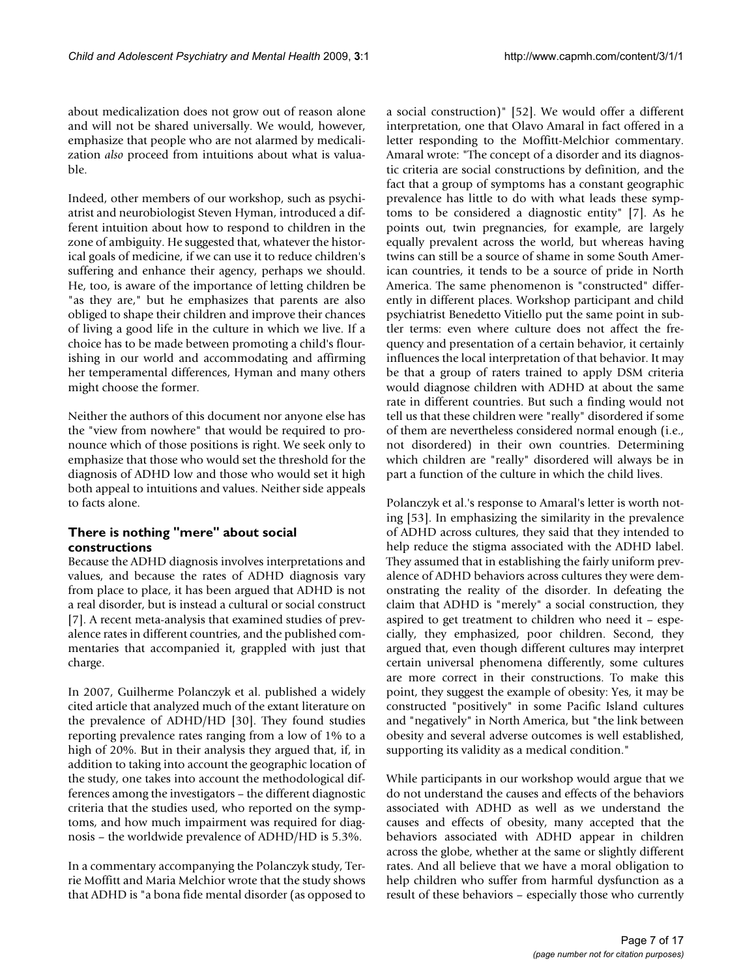about medicalization does not grow out of reason alone and will not be shared universally. We would, however, emphasize that people who are not alarmed by medicalization *also* proceed from intuitions about what is valuable.

Indeed, other members of our workshop, such as psychiatrist and neurobiologist Steven Hyman, introduced a different intuition about how to respond to children in the zone of ambiguity. He suggested that, whatever the historical goals of medicine, if we can use it to reduce children's suffering and enhance their agency, perhaps we should. He, too, is aware of the importance of letting children be "as they are," but he emphasizes that parents are also obliged to shape their children and improve their chances of living a good life in the culture in which we live. If a choice has to be made between promoting a child's flourishing in our world and accommodating and affirming her temperamental differences, Hyman and many others might choose the former.

Neither the authors of this document nor anyone else has the "view from nowhere" that would be required to pronounce which of those positions is right. We seek only to emphasize that those who would set the threshold for the diagnosis of ADHD low and those who would set it high both appeal to intuitions and values. Neither side appeals to facts alone.

## **There is nothing "mere" about social constructions**

Because the ADHD diagnosis involves interpretations and values, and because the rates of ADHD diagnosis vary from place to place, it has been argued that ADHD is not a real disorder, but is instead a cultural or social construct [7]. A recent meta-analysis that examined studies of prevalence rates in different countries, and the published commentaries that accompanied it, grappled with just that charge.

In 2007, Guilherme Polanczyk et al. published a widely cited article that analyzed much of the extant literature on the prevalence of ADHD/HD [30]. They found studies reporting prevalence rates ranging from a low of 1% to a high of 20%. But in their analysis they argued that, if, in addition to taking into account the geographic location of the study, one takes into account the methodological differences among the investigators – the different diagnostic criteria that the studies used, who reported on the symptoms, and how much impairment was required for diagnosis – the worldwide prevalence of ADHD/HD is 5.3%.

In a commentary accompanying the Polanczyk study, Terrie Moffitt and Maria Melchior wrote that the study shows that ADHD is "a bona fide mental disorder (as opposed to

a social construction)" [52]. We would offer a different interpretation, one that Olavo Amaral in fact offered in a letter responding to the Moffitt-Melchior commentary. Amaral wrote: "The concept of a disorder and its diagnostic criteria are social constructions by definition, and the fact that a group of symptoms has a constant geographic prevalence has little to do with what leads these symptoms to be considered a diagnostic entity" [7]. As he points out, twin pregnancies, for example, are largely equally prevalent across the world, but whereas having twins can still be a source of shame in some South American countries, it tends to be a source of pride in North America. The same phenomenon is "constructed" differently in different places. Workshop participant and child psychiatrist Benedetto Vitiello put the same point in subtler terms: even where culture does not affect the frequency and presentation of a certain behavior, it certainly influences the local interpretation of that behavior. It may be that a group of raters trained to apply DSM criteria would diagnose children with ADHD at about the same rate in different countries. But such a finding would not tell us that these children were "really" disordered if some of them are nevertheless considered normal enough (i.e., not disordered) in their own countries. Determining which children are "really" disordered will always be in part a function of the culture in which the child lives.

Polanczyk et al.'s response to Amaral's letter is worth noting [53]. In emphasizing the similarity in the prevalence of ADHD across cultures, they said that they intended to help reduce the stigma associated with the ADHD label. They assumed that in establishing the fairly uniform prevalence of ADHD behaviors across cultures they were demonstrating the reality of the disorder. In defeating the claim that ADHD is "merely" a social construction, they aspired to get treatment to children who need it – especially, they emphasized, poor children. Second, they argued that, even though different cultures may interpret certain universal phenomena differently, some cultures are more correct in their constructions. To make this point, they suggest the example of obesity: Yes, it may be constructed "positively" in some Pacific Island cultures and "negatively" in North America, but "the link between obesity and several adverse outcomes is well established, supporting its validity as a medical condition."

While participants in our workshop would argue that we do not understand the causes and effects of the behaviors associated with ADHD as well as we understand the causes and effects of obesity, many accepted that the behaviors associated with ADHD appear in children across the globe, whether at the same or slightly different rates. And all believe that we have a moral obligation to help children who suffer from harmful dysfunction as a result of these behaviors – especially those who currently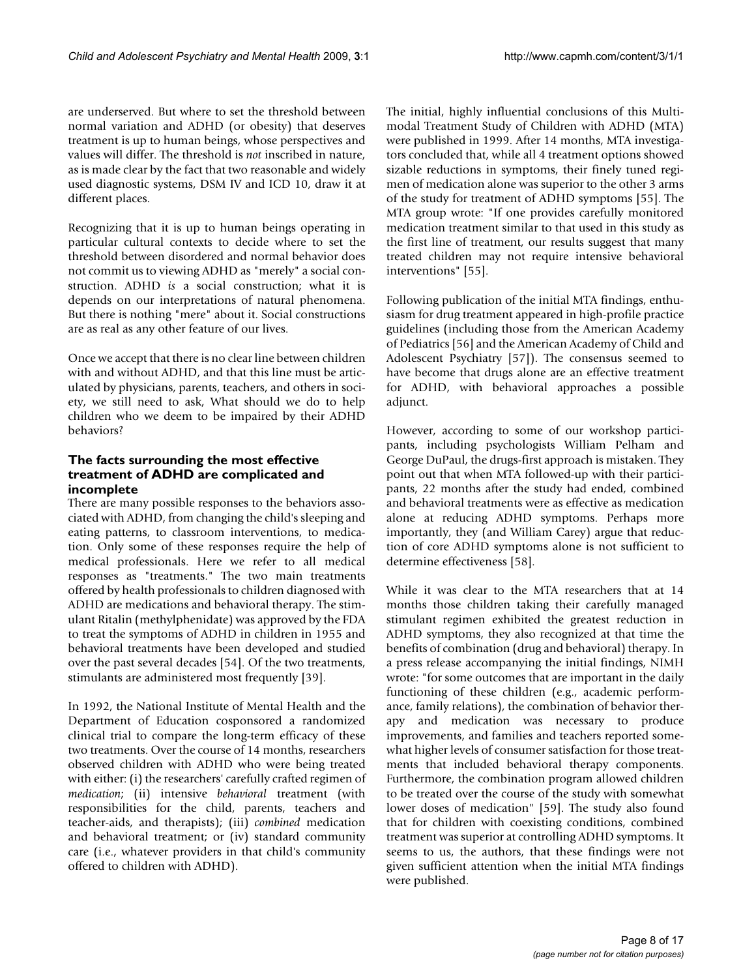are underserved. But where to set the threshold between normal variation and ADHD (or obesity) that deserves treatment is up to human beings, whose perspectives and values will differ. The threshold is *not* inscribed in nature, as is made clear by the fact that two reasonable and widely used diagnostic systems, DSM IV and ICD 10, draw it at different places.

Recognizing that it is up to human beings operating in particular cultural contexts to decide where to set the threshold between disordered and normal behavior does not commit us to viewing ADHD as "merely" a social construction. ADHD *is* a social construction; what it is depends on our interpretations of natural phenomena. But there is nothing "mere" about it. Social constructions are as real as any other feature of our lives.

Once we accept that there is no clear line between children with and without ADHD, and that this line must be articulated by physicians, parents, teachers, and others in society, we still need to ask, What should we do to help children who we deem to be impaired by their ADHD behaviors?

## **The facts surrounding the most effective treatment of ADHD are complicated and incomplete**

There are many possible responses to the behaviors associated with ADHD, from changing the child's sleeping and eating patterns, to classroom interventions, to medication. Only some of these responses require the help of medical professionals. Here we refer to all medical responses as "treatments." The two main treatments offered by health professionals to children diagnosed with ADHD are medications and behavioral therapy. The stimulant Ritalin (methylphenidate) was approved by the FDA to treat the symptoms of ADHD in children in 1955 and behavioral treatments have been developed and studied over the past several decades [54]. Of the two treatments, stimulants are administered most frequently [39].

In 1992, the National Institute of Mental Health and the Department of Education cosponsored a randomized clinical trial to compare the long-term efficacy of these two treatments. Over the course of 14 months, researchers observed children with ADHD who were being treated with either: (i) the researchers' carefully crafted regimen of *medication*; (ii) intensive *behavioral* treatment (with responsibilities for the child, parents, teachers and teacher-aids, and therapists); (iii) *combined* medication and behavioral treatment; or (iv) standard community care (i.e., whatever providers in that child's community offered to children with ADHD).

The initial, highly influential conclusions of this Multimodal Treatment Study of Children with ADHD (MTA) were published in 1999. After 14 months, MTA investigators concluded that, while all 4 treatment options showed sizable reductions in symptoms, their finely tuned regimen of medication alone was superior to the other 3 arms of the study for treatment of ADHD symptoms [55]. The MTA group wrote: "If one provides carefully monitored medication treatment similar to that used in this study as the first line of treatment, our results suggest that many treated children may not require intensive behavioral interventions" [55].

Following publication of the initial MTA findings, enthusiasm for drug treatment appeared in high-profile practice guidelines (including those from the American Academy of Pediatrics [56] and the American Academy of Child and Adolescent Psychiatry [57]). The consensus seemed to have become that drugs alone are an effective treatment for ADHD, with behavioral approaches a possible adjunct.

However, according to some of our workshop participants, including psychologists William Pelham and George DuPaul, the drugs-first approach is mistaken. They point out that when MTA followed-up with their participants, 22 months after the study had ended, combined and behavioral treatments were as effective as medication alone at reducing ADHD symptoms. Perhaps more importantly, they (and William Carey) argue that reduction of core ADHD symptoms alone is not sufficient to determine effectiveness [58].

While it was clear to the MTA researchers that at 14 months those children taking their carefully managed stimulant regimen exhibited the greatest reduction in ADHD symptoms, they also recognized at that time the benefits of combination (drug and behavioral) therapy. In a press release accompanying the initial findings, NIMH wrote: "for some outcomes that are important in the daily functioning of these children (e.g., academic performance, family relations), the combination of behavior therapy and medication was necessary to produce improvements, and families and teachers reported somewhat higher levels of consumer satisfaction for those treatments that included behavioral therapy components. Furthermore, the combination program allowed children to be treated over the course of the study with somewhat lower doses of medication" [59]. The study also found that for children with coexisting conditions, combined treatment was superior at controlling ADHD symptoms. It seems to us, the authors, that these findings were not given sufficient attention when the initial MTA findings were published.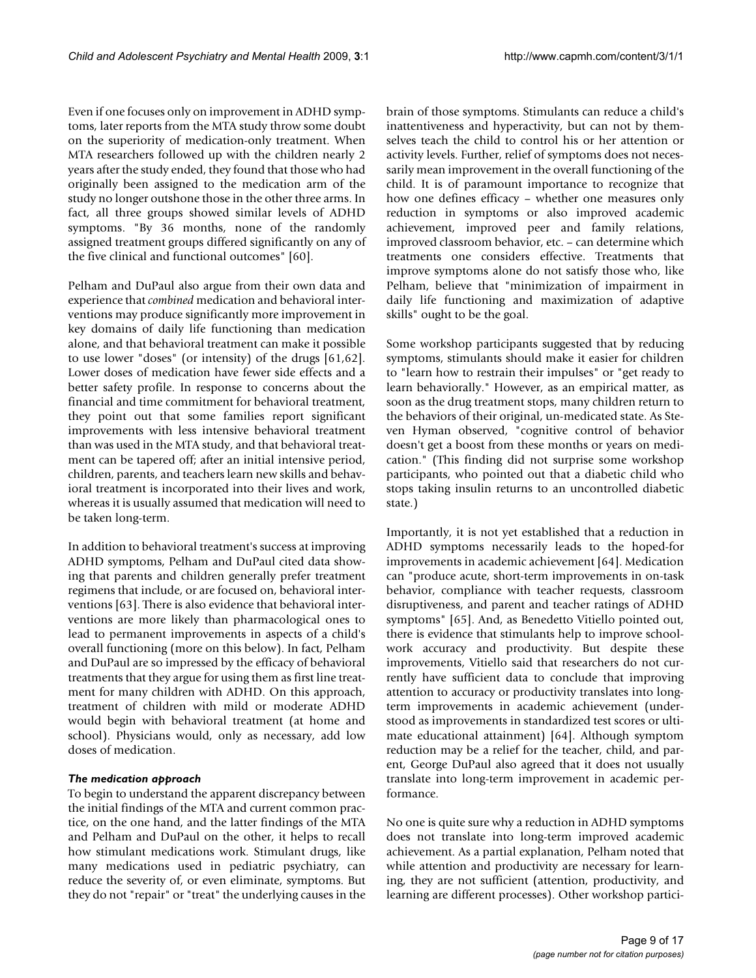Even if one focuses only on improvement in ADHD symptoms, later reports from the MTA study throw some doubt on the superiority of medication-only treatment. When MTA researchers followed up with the children nearly 2 years after the study ended, they found that those who had originally been assigned to the medication arm of the study no longer outshone those in the other three arms. In fact, all three groups showed similar levels of ADHD symptoms. "By 36 months, none of the randomly assigned treatment groups differed significantly on any of the five clinical and functional outcomes" [60].

Pelham and DuPaul also argue from their own data and experience that *combined* medication and behavioral interventions may produce significantly more improvement in key domains of daily life functioning than medication alone, and that behavioral treatment can make it possible to use lower "doses" (or intensity) of the drugs [61,62]. Lower doses of medication have fewer side effects and a better safety profile. In response to concerns about the financial and time commitment for behavioral treatment, they point out that some families report significant improvements with less intensive behavioral treatment than was used in the MTA study, and that behavioral treatment can be tapered off; after an initial intensive period, children, parents, and teachers learn new skills and behavioral treatment is incorporated into their lives and work, whereas it is usually assumed that medication will need to be taken long-term.

In addition to behavioral treatment's success at improving ADHD symptoms, Pelham and DuPaul cited data showing that parents and children generally prefer treatment regimens that include, or are focused on, behavioral interventions [63]. There is also evidence that behavioral interventions are more likely than pharmacological ones to lead to permanent improvements in aspects of a child's overall functioning (more on this below). In fact, Pelham and DuPaul are so impressed by the efficacy of behavioral treatments that they argue for using them as first line treatment for many children with ADHD. On this approach, treatment of children with mild or moderate ADHD would begin with behavioral treatment (at home and school). Physicians would, only as necessary, add low doses of medication.

## *The medication approach*

To begin to understand the apparent discrepancy between the initial findings of the MTA and current common practice, on the one hand, and the latter findings of the MTA and Pelham and DuPaul on the other, it helps to recall how stimulant medications work. Stimulant drugs, like many medications used in pediatric psychiatry, can reduce the severity of, or even eliminate, symptoms. But they do not "repair" or "treat" the underlying causes in the brain of those symptoms. Stimulants can reduce a child's inattentiveness and hyperactivity, but can not by themselves teach the child to control his or her attention or activity levels. Further, relief of symptoms does not necessarily mean improvement in the overall functioning of the child. It is of paramount importance to recognize that how one defines efficacy – whether one measures only reduction in symptoms or also improved academic achievement, improved peer and family relations, improved classroom behavior, etc. – can determine which treatments one considers effective. Treatments that improve symptoms alone do not satisfy those who, like Pelham, believe that "minimization of impairment in daily life functioning and maximization of adaptive skills" ought to be the goal.

Some workshop participants suggested that by reducing symptoms, stimulants should make it easier for children to "learn how to restrain their impulses" or "get ready to learn behaviorally." However, as an empirical matter, as soon as the drug treatment stops, many children return to the behaviors of their original, un-medicated state. As Steven Hyman observed, "cognitive control of behavior doesn't get a boost from these months or years on medication." (This finding did not surprise some workshop participants, who pointed out that a diabetic child who stops taking insulin returns to an uncontrolled diabetic state.)

Importantly, it is not yet established that a reduction in ADHD symptoms necessarily leads to the hoped-for improvements in academic achievement [64]. Medication can "produce acute, short-term improvements in on-task behavior, compliance with teacher requests, classroom disruptiveness, and parent and teacher ratings of ADHD symptoms" [65]. And, as Benedetto Vitiello pointed out, there is evidence that stimulants help to improve schoolwork accuracy and productivity. But despite these improvements, Vitiello said that researchers do not currently have sufficient data to conclude that improving attention to accuracy or productivity translates into longterm improvements in academic achievement (understood as improvements in standardized test scores or ultimate educational attainment) [64]. Although symptom reduction may be a relief for the teacher, child, and parent, George DuPaul also agreed that it does not usually translate into long-term improvement in academic performance.

No one is quite sure why a reduction in ADHD symptoms does not translate into long-term improved academic achievement. As a partial explanation, Pelham noted that while attention and productivity are necessary for learning, they are not sufficient (attention, productivity, and learning are different processes). Other workshop partici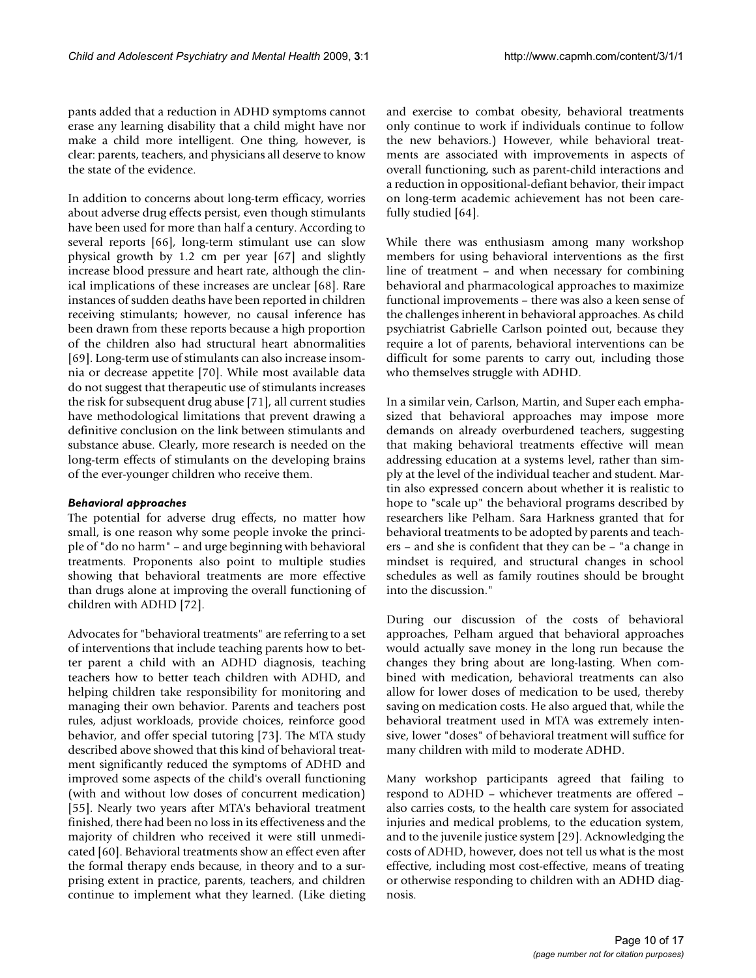pants added that a reduction in ADHD symptoms cannot erase any learning disability that a child might have nor make a child more intelligent. One thing, however, is clear: parents, teachers, and physicians all deserve to know the state of the evidence.

In addition to concerns about long-term efficacy, worries about adverse drug effects persist, even though stimulants have been used for more than half a century. According to several reports [66], long-term stimulant use can slow physical growth by 1.2 cm per year [67] and slightly increase blood pressure and heart rate, although the clinical implications of these increases are unclear [68]. Rare instances of sudden deaths have been reported in children receiving stimulants; however, no causal inference has been drawn from these reports because a high proportion of the children also had structural heart abnormalities [69]. Long-term use of stimulants can also increase insomnia or decrease appetite [70]. While most available data do not suggest that therapeutic use of stimulants increases the risk for subsequent drug abuse [71], all current studies have methodological limitations that prevent drawing a definitive conclusion on the link between stimulants and substance abuse. Clearly, more research is needed on the long-term effects of stimulants on the developing brains of the ever-younger children who receive them.

### *Behavioral approaches*

The potential for adverse drug effects, no matter how small, is one reason why some people invoke the principle of "do no harm" – and urge beginning with behavioral treatments. Proponents also point to multiple studies showing that behavioral treatments are more effective than drugs alone at improving the overall functioning of children with ADHD [72].

Advocates for "behavioral treatments" are referring to a set of interventions that include teaching parents how to better parent a child with an ADHD diagnosis, teaching teachers how to better teach children with ADHD, and helping children take responsibility for monitoring and managing their own behavior. Parents and teachers post rules, adjust workloads, provide choices, reinforce good behavior, and offer special tutoring [73]. The MTA study described above showed that this kind of behavioral treatment significantly reduced the symptoms of ADHD and improved some aspects of the child's overall functioning (with and without low doses of concurrent medication) [55]. Nearly two years after MTA's behavioral treatment finished, there had been no loss in its effectiveness and the majority of children who received it were still unmedicated [60]. Behavioral treatments show an effect even after the formal therapy ends because, in theory and to a surprising extent in practice, parents, teachers, and children continue to implement what they learned. (Like dieting and exercise to combat obesity, behavioral treatments only continue to work if individuals continue to follow the new behaviors.) However, while behavioral treatments are associated with improvements in aspects of overall functioning, such as parent-child interactions and a reduction in oppositional-defiant behavior, their impact on long-term academic achievement has not been carefully studied [64].

While there was enthusiasm among many workshop members for using behavioral interventions as the first line of treatment – and when necessary for combining behavioral and pharmacological approaches to maximize functional improvements – there was also a keen sense of the challenges inherent in behavioral approaches. As child psychiatrist Gabrielle Carlson pointed out, because they require a lot of parents, behavioral interventions can be difficult for some parents to carry out, including those who themselves struggle with ADHD.

In a similar vein, Carlson, Martin, and Super each emphasized that behavioral approaches may impose more demands on already overburdened teachers, suggesting that making behavioral treatments effective will mean addressing education at a systems level, rather than simply at the level of the individual teacher and student. Martin also expressed concern about whether it is realistic to hope to "scale up" the behavioral programs described by researchers like Pelham. Sara Harkness granted that for behavioral treatments to be adopted by parents and teachers – and she is confident that they can be – "a change in mindset is required, and structural changes in school schedules as well as family routines should be brought into the discussion."

During our discussion of the costs of behavioral approaches, Pelham argued that behavioral approaches would actually save money in the long run because the changes they bring about are long-lasting. When combined with medication, behavioral treatments can also allow for lower doses of medication to be used, thereby saving on medication costs. He also argued that, while the behavioral treatment used in MTA was extremely intensive, lower "doses" of behavioral treatment will suffice for many children with mild to moderate ADHD.

Many workshop participants agreed that failing to respond to ADHD – whichever treatments are offered – also carries costs, to the health care system for associated injuries and medical problems, to the education system, and to the juvenile justice system [29]. Acknowledging the costs of ADHD, however, does not tell us what is the most effective, including most cost-effective, means of treating or otherwise responding to children with an ADHD diagnosis.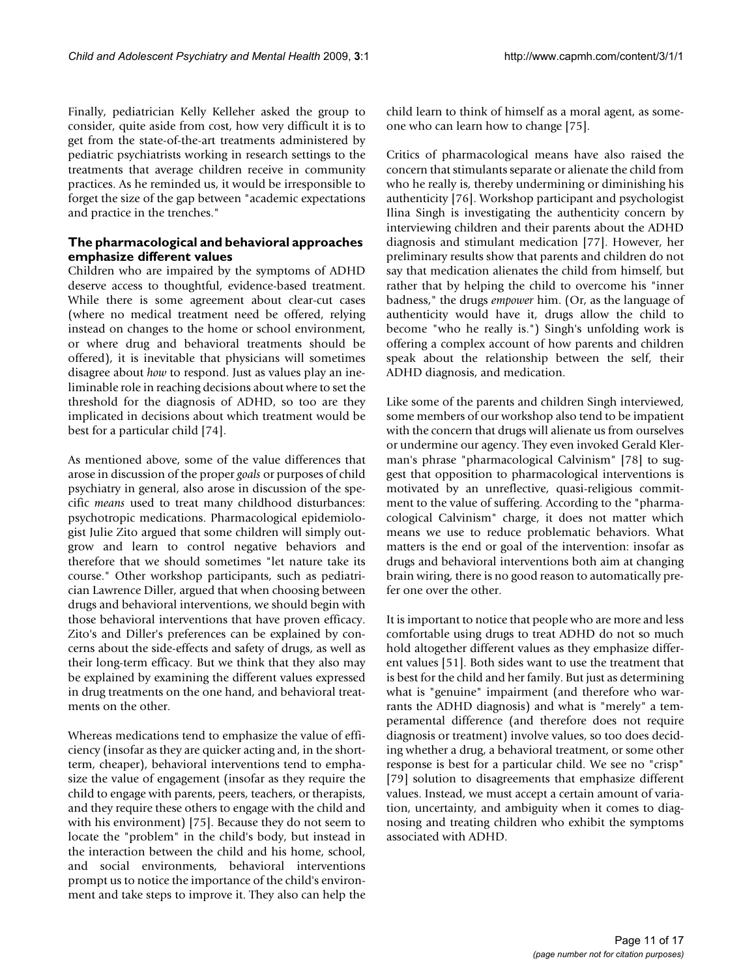Finally, pediatrician Kelly Kelleher asked the group to consider, quite aside from cost, how very difficult it is to get from the state-of-the-art treatments administered by pediatric psychiatrists working in research settings to the treatments that average children receive in community practices. As he reminded us, it would be irresponsible to forget the size of the gap between "academic expectations and practice in the trenches."

## **The pharmacological and behavioral approaches emphasize different values**

Children who are impaired by the symptoms of ADHD deserve access to thoughtful, evidence-based treatment. While there is some agreement about clear-cut cases (where no medical treatment need be offered, relying instead on changes to the home or school environment, or where drug and behavioral treatments should be offered), it is inevitable that physicians will sometimes disagree about *how* to respond. Just as values play an ineliminable role in reaching decisions about where to set the threshold for the diagnosis of ADHD, so too are they implicated in decisions about which treatment would be best for a particular child [74].

As mentioned above, some of the value differences that arose in discussion of the proper *goals* or purposes of child psychiatry in general, also arose in discussion of the specific *means* used to treat many childhood disturbances: psychotropic medications. Pharmacological epidemiologist Julie Zito argued that some children will simply outgrow and learn to control negative behaviors and therefore that we should sometimes "let nature take its course." Other workshop participants, such as pediatrician Lawrence Diller, argued that when choosing between drugs and behavioral interventions, we should begin with those behavioral interventions that have proven efficacy. Zito's and Diller's preferences can be explained by concerns about the side-effects and safety of drugs, as well as their long-term efficacy. But we think that they also may be explained by examining the different values expressed in drug treatments on the one hand, and behavioral treatments on the other.

Whereas medications tend to emphasize the value of efficiency (insofar as they are quicker acting and, in the shortterm, cheaper), behavioral interventions tend to emphasize the value of engagement (insofar as they require the child to engage with parents, peers, teachers, or therapists, and they require these others to engage with the child and with his environment) [75]. Because they do not seem to locate the "problem" in the child's body, but instead in the interaction between the child and his home, school, and social environments, behavioral interventions prompt us to notice the importance of the child's environment and take steps to improve it. They also can help the child learn to think of himself as a moral agent, as someone who can learn how to change [75].

Critics of pharmacological means have also raised the concern that stimulants separate or alienate the child from who he really is, thereby undermining or diminishing his authenticity [76]. Workshop participant and psychologist Ilina Singh is investigating the authenticity concern by interviewing children and their parents about the ADHD diagnosis and stimulant medication [77]. However, her preliminary results show that parents and children do not say that medication alienates the child from himself, but rather that by helping the child to overcome his "inner badness," the drugs *empower* him. (Or, as the language of authenticity would have it, drugs allow the child to become "who he really is.") Singh's unfolding work is offering a complex account of how parents and children speak about the relationship between the self, their ADHD diagnosis, and medication.

Like some of the parents and children Singh interviewed, some members of our workshop also tend to be impatient with the concern that drugs will alienate us from ourselves or undermine our agency. They even invoked Gerald Klerman's phrase "pharmacological Calvinism" [78] to suggest that opposition to pharmacological interventions is motivated by an unreflective, quasi-religious commitment to the value of suffering. According to the "pharmacological Calvinism" charge, it does not matter which means we use to reduce problematic behaviors. What matters is the end or goal of the intervention: insofar as drugs and behavioral interventions both aim at changing brain wiring, there is no good reason to automatically prefer one over the other.

It is important to notice that people who are more and less comfortable using drugs to treat ADHD do not so much hold altogether different values as they emphasize different values [51]. Both sides want to use the treatment that is best for the child and her family. But just as determining what is "genuine" impairment (and therefore who warrants the ADHD diagnosis) and what is "merely" a temperamental difference (and therefore does not require diagnosis or treatment) involve values, so too does deciding whether a drug, a behavioral treatment, or some other response is best for a particular child. We see no "crisp" [79] solution to disagreements that emphasize different values. Instead, we must accept a certain amount of variation, uncertainty, and ambiguity when it comes to diagnosing and treating children who exhibit the symptoms associated with ADHD.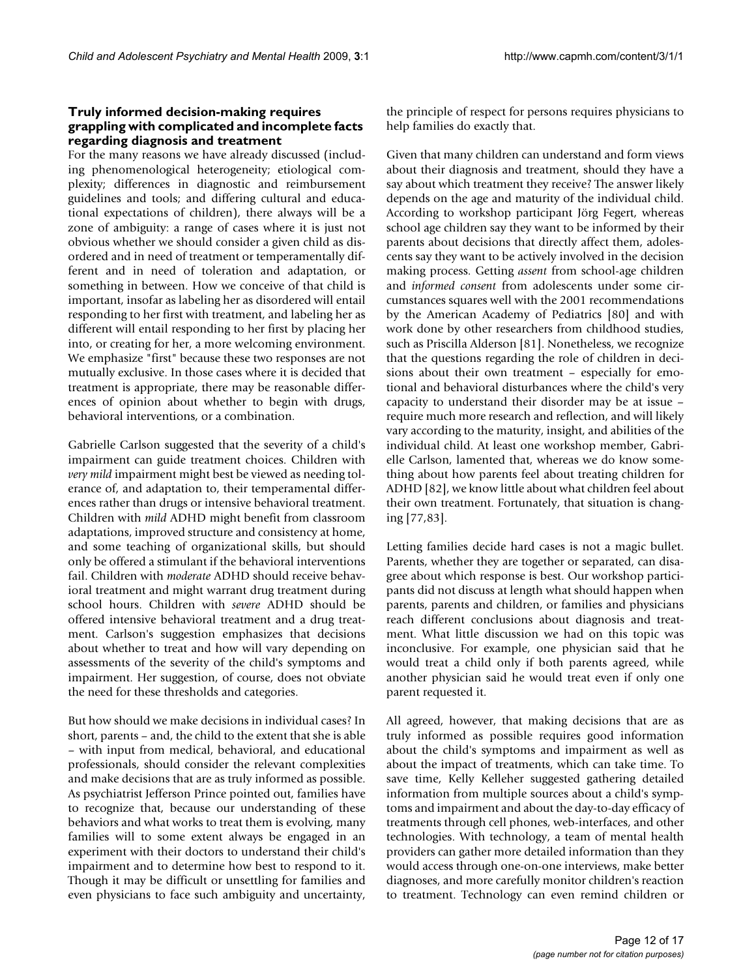## **Truly informed decision-making requires grappling with complicated and incomplete facts regarding diagnosis and treatment**

For the many reasons we have already discussed (including phenomenological heterogeneity; etiological complexity; differences in diagnostic and reimbursement guidelines and tools; and differing cultural and educational expectations of children), there always will be a zone of ambiguity: a range of cases where it is just not obvious whether we should consider a given child as disordered and in need of treatment or temperamentally different and in need of toleration and adaptation, or something in between. How we conceive of that child is important, insofar as labeling her as disordered will entail responding to her first with treatment, and labeling her as different will entail responding to her first by placing her into, or creating for her, a more welcoming environment. We emphasize "first" because these two responses are not mutually exclusive. In those cases where it is decided that treatment is appropriate, there may be reasonable differences of opinion about whether to begin with drugs, behavioral interventions, or a combination.

Gabrielle Carlson suggested that the severity of a child's impairment can guide treatment choices. Children with *very mild* impairment might best be viewed as needing tolerance of, and adaptation to, their temperamental differences rather than drugs or intensive behavioral treatment. Children with *mild* ADHD might benefit from classroom adaptations, improved structure and consistency at home, and some teaching of organizational skills, but should only be offered a stimulant if the behavioral interventions fail. Children with *moderate* ADHD should receive behavioral treatment and might warrant drug treatment during school hours. Children with *severe* ADHD should be offered intensive behavioral treatment and a drug treatment. Carlson's suggestion emphasizes that decisions about whether to treat and how will vary depending on assessments of the severity of the child's symptoms and impairment. Her suggestion, of course, does not obviate the need for these thresholds and categories.

But how should we make decisions in individual cases? In short, parents – and, the child to the extent that she is able – with input from medical, behavioral, and educational professionals, should consider the relevant complexities and make decisions that are as truly informed as possible. As psychiatrist Jefferson Prince pointed out, families have to recognize that, because our understanding of these behaviors and what works to treat them is evolving, many families will to some extent always be engaged in an experiment with their doctors to understand their child's impairment and to determine how best to respond to it. Though it may be difficult or unsettling for families and even physicians to face such ambiguity and uncertainty,

the principle of respect for persons requires physicians to help families do exactly that.

Given that many children can understand and form views about their diagnosis and treatment, should they have a say about which treatment they receive? The answer likely depends on the age and maturity of the individual child. According to workshop participant Jörg Fegert, whereas school age children say they want to be informed by their parents about decisions that directly affect them, adolescents say they want to be actively involved in the decision making process. Getting *assent* from school-age children and *informed consent* from adolescents under some circumstances squares well with the 2001 recommendations by the American Academy of Pediatrics [[80](#page-16-0)] and with work done by other researchers from childhood studies, such as Priscilla Alderson [81]. Nonetheless, we recognize that the questions regarding the role of children in decisions about their own treatment – especially for emotional and behavioral disturbances where the child's very capacity to understand their disorder may be at issue – require much more research and reflection, and will likely vary according to the maturity, insight, and abilities of the individual child. At least one workshop member, Gabrielle Carlson, lamented that, whereas we do know something about how parents feel about treating children for ADHD [82], we know little about what children feel about their own treatment. Fortunately, that situation is changing [77,83].

Letting families decide hard cases is not a magic bullet. Parents, whether they are together or separated, can disagree about which response is best. Our workshop participants did not discuss at length what should happen when parents, parents and children, or families and physicians reach different conclusions about diagnosis and treatment. What little discussion we had on this topic was inconclusive. For example, one physician said that he would treat a child only if both parents agreed, while another physician said he would treat even if only one parent requested it.

All agreed, however, that making decisions that are as truly informed as possible requires good information about the child's symptoms and impairment as well as about the impact of treatments, which can take time. To save time, Kelly Kelleher suggested gathering detailed information from multiple sources about a child's symptoms and impairment and about the day-to-day efficacy of treatments through cell phones, web-interfaces, and other technologies. With technology, a team of mental health providers can gather more detailed information than they would access through one-on-one interviews, make better diagnoses, and more carefully monitor children's reaction to treatment. Technology can even remind children or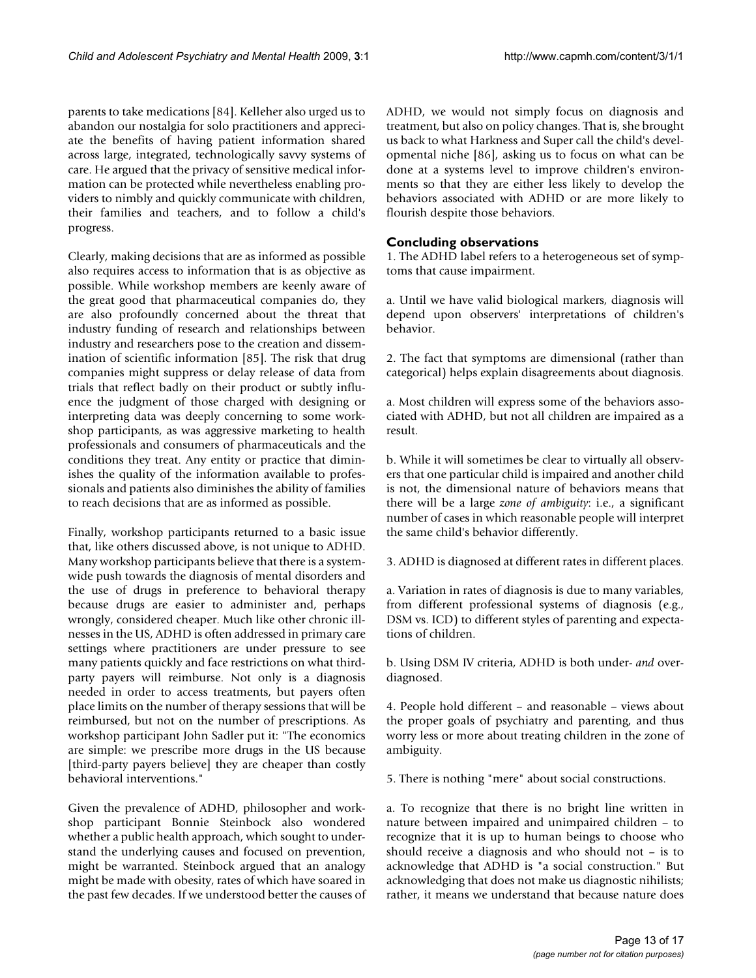parents to take medications [84]. Kelleher also urged us to abandon our nostalgia for solo practitioners and appreciate the benefits of having patient information shared across large, integrated, technologically savvy systems of care. He argued that the privacy of sensitive medical information can be protected while nevertheless enabling providers to nimbly and quickly communicate with children, their families and teachers, and to follow a child's progress.

Clearly, making decisions that are as informed as possible also requires access to information that is as objective as possible. While workshop members are keenly aware of the great good that pharmaceutical companies do, they are also profoundly concerned about the threat that industry funding of research and relationships between industry and researchers pose to the creation and dissemination of scientific information [85]. The risk that drug companies might suppress or delay release of data from trials that reflect badly on their product or subtly influence the judgment of those charged with designing or interpreting data was deeply concerning to some workshop participants, as was aggressive marketing to health professionals and consumers of pharmaceuticals and the conditions they treat. Any entity or practice that diminishes the quality of the information available to professionals and patients also diminishes the ability of families to reach decisions that are as informed as possible.

Finally, workshop participants returned to a basic issue that, like others discussed above, is not unique to ADHD. Many workshop participants believe that there is a systemwide push towards the diagnosis of mental disorders and the use of drugs in preference to behavioral therapy because drugs are easier to administer and, perhaps wrongly, considered cheaper. Much like other chronic illnesses in the US, ADHD is often addressed in primary care settings where practitioners are under pressure to see many patients quickly and face restrictions on what thirdparty payers will reimburse. Not only is a diagnosis needed in order to access treatments, but payers often place limits on the number of therapy sessions that will be reimbursed, but not on the number of prescriptions. As workshop participant John Sadler put it: "The economics are simple: we prescribe more drugs in the US because [third-party payers believe] they are cheaper than costly behavioral interventions."

Given the prevalence of ADHD, philosopher and workshop participant Bonnie Steinbock also wondered whether a public health approach, which sought to understand the underlying causes and focused on prevention, might be warranted. Steinbock argued that an analogy might be made with obesity, rates of which have soared in the past few decades. If we understood better the causes of ADHD, we would not simply focus on diagnosis and treatment, but also on policy changes. That is, she brought us back to what Harkness and Super call the child's developmental niche [86], asking us to focus on what can be done at a systems level to improve children's environments so that they are either less likely to develop the behaviors associated with ADHD or are more likely to flourish despite those behaviors.

## **Concluding observations**

1. The ADHD label refers to a heterogeneous set of symptoms that cause impairment.

a. Until we have valid biological markers, diagnosis will depend upon observers' interpretations of children's behavior.

2. The fact that symptoms are dimensional (rather than categorical) helps explain disagreements about diagnosis.

a. Most children will express some of the behaviors associated with ADHD, but not all children are impaired as a result.

b. While it will sometimes be clear to virtually all observers that one particular child is impaired and another child is not, the dimensional nature of behaviors means that there will be a large *zone of ambiguity*: i.e., a significant number of cases in which reasonable people will interpret the same child's behavior differently.

3. ADHD is diagnosed at different rates in different places.

a. Variation in rates of diagnosis is due to many variables, from different professional systems of diagnosis (e.g., DSM vs. ICD) to different styles of parenting and expectations of children.

b. Using DSM IV criteria, ADHD is both under- *and* overdiagnosed.

4. People hold different – and reasonable – views about the proper goals of psychiatry and parenting, and thus worry less or more about treating children in the zone of ambiguity.

5. There is nothing "mere" about social constructions.

a. To recognize that there is no bright line written in nature between impaired and unimpaired children – to recognize that it is up to human beings to choose who should receive a diagnosis and who should not – is to acknowledge that ADHD is "a social construction." But acknowledging that does not make us diagnostic nihilists; rather, it means we understand that because nature does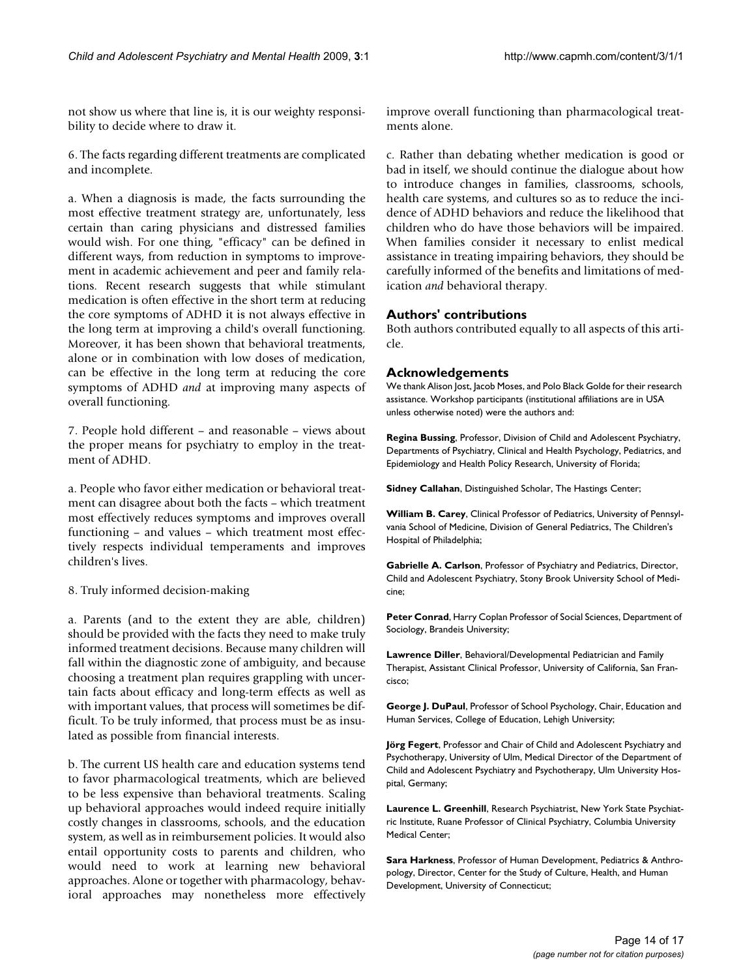not show us where that line is, it is our weighty responsibility to decide where to draw it.

6. The facts regarding different treatments are complicated and incomplete.

a. When a diagnosis is made, the facts surrounding the most effective treatment strategy are, unfortunately, less certain than caring physicians and distressed families would wish. For one thing, "efficacy" can be defined in different ways, from reduction in symptoms to improvement in academic achievement and peer and family relations. Recent research suggests that while stimulant medication is often effective in the short term at reducing the core symptoms of ADHD it is not always effective in the long term at improving a child's overall functioning. Moreover, it has been shown that behavioral treatments, alone or in combination with low doses of medication, can be effective in the long term at reducing the core symptoms of ADHD *and* at improving many aspects of overall functioning.

7. People hold different – and reasonable – views about the proper means for psychiatry to employ in the treatment of ADHD.

a. People who favor either medication or behavioral treatment can disagree about both the facts – which treatment most effectively reduces symptoms and improves overall functioning – and values – which treatment most effectively respects individual temperaments and improves children's lives.

### 8. Truly informed decision-making

a. Parents (and to the extent they are able, children) should be provided with the facts they need to make truly informed treatment decisions. Because many children will fall within the diagnostic zone of ambiguity, and because choosing a treatment plan requires grappling with uncertain facts about efficacy and long-term effects as well as with important values, that process will sometimes be difficult. To be truly informed, that process must be as insulated as possible from financial interests.

b. The current US health care and education systems tend to favor pharmacological treatments, which are believed to be less expensive than behavioral treatments. Scaling up behavioral approaches would indeed require initially costly changes in classrooms, schools, and the education system, as well as in reimbursement policies. It would also entail opportunity costs to parents and children, who would need to work at learning new behavioral approaches. Alone or together with pharmacology, behavioral approaches may nonetheless more effectively improve overall functioning than pharmacological treatments alone.

c. Rather than debating whether medication is good or bad in itself, we should continue the dialogue about how to introduce changes in families, classrooms, schools, health care systems, and cultures so as to reduce the incidence of ADHD behaviors and reduce the likelihood that children who do have those behaviors will be impaired. When families consider it necessary to enlist medical assistance in treating impairing behaviors, they should be carefully informed of the benefits and limitations of medication *and* behavioral therapy.

### **Authors' contributions**

Both authors contributed equally to all aspects of this article.

#### **Acknowledgements**

We thank Alison Jost, Jacob Moses, and Polo Black Golde for their research assistance. Workshop participants (institutional affiliations are in USA unless otherwise noted) were the authors and:

**Regina Bussing**, Professor, Division of Child and Adolescent Psychiatry, Departments of Psychiatry, Clinical and Health Psychology, Pediatrics, and Epidemiology and Health Policy Research, University of Florida;

**Sidney Callahan**, Distinguished Scholar, The Hastings Center;

**William B. Carey**, Clinical Professor of Pediatrics, University of Pennsylvania School of Medicine, Division of General Pediatrics, The Children's Hospital of Philadelphia;

**Gabrielle A. Carlson**, Professor of Psychiatry and Pediatrics, Director, Child and Adolescent Psychiatry, Stony Brook University School of Medicine;

**Peter Conrad**, Harry Coplan Professor of Social Sciences, Department of Sociology, Brandeis University;

**Lawrence Diller**, Behavioral/Developmental Pediatrician and Family Therapist, Assistant Clinical Professor, University of California, San Francisco;

**George J. DuPaul**, Professor of School Psychology, Chair, Education and Human Services, College of Education, Lehigh University;

**Jörg Fegert**, Professor and Chair of Child and Adolescent Psychiatry and Psychotherapy, University of Ulm, Medical Director of the Department of Child and Adolescent Psychiatry and Psychotherapy, Ulm University Hospital, Germany;

**Laurence L. Greenhill**, Research Psychiatrist, New York State Psychiatric Institute, Ruane Professor of Clinical Psychiatry, Columbia University Medical Center;

**Sara Harkness**, Professor of Human Development, Pediatrics & Anthropology, Director, Center for the Study of Culture, Health, and Human Development, University of Connecticut;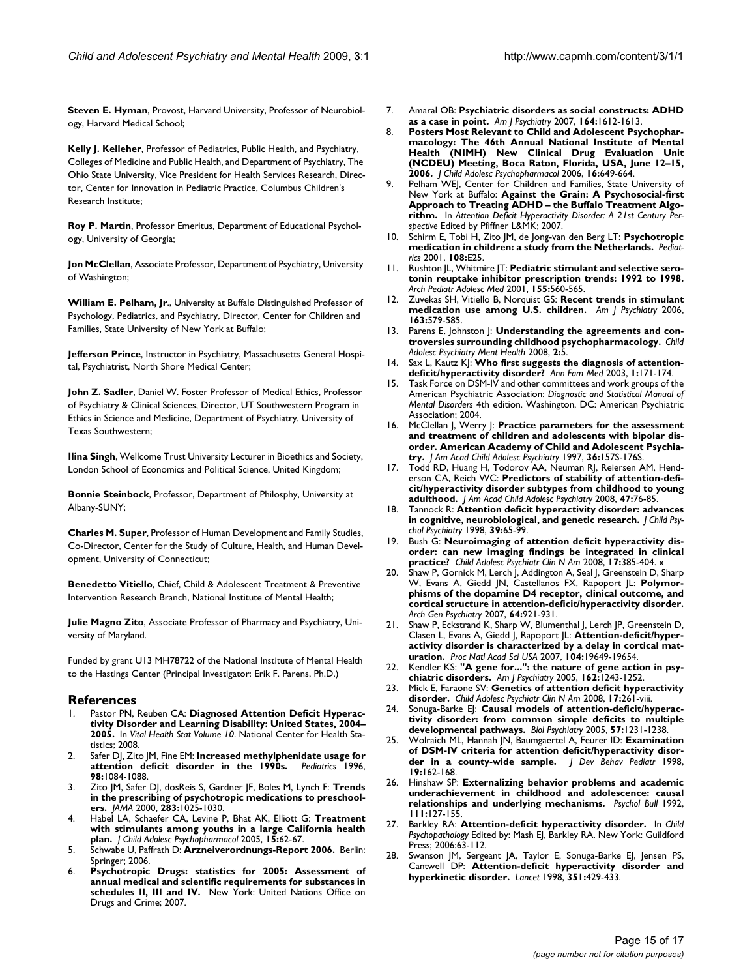**Steven E. Hyman**, Provost, Harvard University, Professor of Neurobiology, Harvard Medical School;

**Kelly J. Kelleher**, Professor of Pediatrics, Public Health, and Psychiatry, Colleges of Medicine and Public Health, and Department of Psychiatry, The Ohio State University, Vice President for Health Services Research, Director, Center for Innovation in Pediatric Practice, Columbus Children's Research Institute;

**Roy P. Martin**, Professor Emeritus, Department of Educational Psychology, University of Georgia;

**Jon McClellan**, Associate Professor, Department of Psychiatry, University of Washington;

**William E. Pelham, Jr**., University at Buffalo Distinguished Professor of Psychology, Pediatrics, and Psychiatry, Director, Center for Children and Families, State University of New York at Buffalo;

**Jefferson Prince**, Instructor in Psychiatry, Massachusetts General Hospital, Psychiatrist, North Shore Medical Center;

**John Z. Sadler**, Daniel W. Foster Professor of Medical Ethics, Professor of Psychiatry & Clinical Sciences, Director, UT Southwestern Program in Ethics in Science and Medicine, Department of Psychiatry, University of Texas Southwestern;

**Ilina Singh**, Wellcome Trust University Lecturer in Bioethics and Society, London School of Economics and Political Science, United Kingdom;

**Bonnie Steinbock**, Professor, Department of Philosphy, University at Albany-SUNY;

**Charles M. Super**, Professor of Human Development and Family Studies, Co-Director, Center for the Study of Culture, Health, and Human Development, University of Connecticut;

**Benedetto Vitiello**, Chief, Child & Adolescent Treatment & Preventive Intervention Research Branch, National Institute of Mental Health;

**Julie Magno Zito**, Associate Professor of Pharmacy and Psychiatry, University of Maryland.

Funded by grant U13 MH78722 of the National Institute of Mental Health to the Hastings Center (Principal Investigator: Erik F. Parens, Ph.D.)

#### **References**

- Pastor PN, Reuben CA: Diagnosed Attention Deficit Hyperac**tivity Disorder and Learning Disability: United States, 2004– 2005.** In *Vital Health Stat Volume 10*. National Center for Health Statistics; 2008.
- 2. Safer DJ, Zito JM, Fine EM: **[Increased methylphenidate usage for](http://www.ncbi.nlm.nih.gov/entrez/query.fcgi?cmd=Retrieve&db=PubMed&dopt=Abstract&list_uids=8951257) [attention deficit disorder in the 1990s.](http://www.ncbi.nlm.nih.gov/entrez/query.fcgi?cmd=Retrieve&db=PubMed&dopt=Abstract&list_uids=8951257)** *Pediatrics* 1996, **98:**1084-1088.
- 3. Zito JM, Safer DJ, dosReis S, Gardner JF, Boles M, Lynch F: **[Trends](http://www.ncbi.nlm.nih.gov/entrez/query.fcgi?cmd=Retrieve&db=PubMed&dopt=Abstract&list_uids=10697062) [in the prescribing of psychotropic medications to preschool](http://www.ncbi.nlm.nih.gov/entrez/query.fcgi?cmd=Retrieve&db=PubMed&dopt=Abstract&list_uids=10697062)[ers.](http://www.ncbi.nlm.nih.gov/entrez/query.fcgi?cmd=Retrieve&db=PubMed&dopt=Abstract&list_uids=10697062)** *JAMA* 2000, **283:**1025-1030.
- 4. Habel LA, Schaefer CA, Levine P, Bhat AK, Elliott G: **[Treatment](http://www.ncbi.nlm.nih.gov/entrez/query.fcgi?cmd=Retrieve&db=PubMed&dopt=Abstract&list_uids=15741787) [with stimulants among youths in a large California health](http://www.ncbi.nlm.nih.gov/entrez/query.fcgi?cmd=Retrieve&db=PubMed&dopt=Abstract&list_uids=15741787) [plan.](http://www.ncbi.nlm.nih.gov/entrez/query.fcgi?cmd=Retrieve&db=PubMed&dopt=Abstract&list_uids=15741787)** *J Child Adolesc Psychopharmacol* 2005, **15:**62-67.
- 5. Schwabe U, Paffrath D: **Arzneiverordnungs-Report 2006.** Berlin: Springer; 2006.
- 6. **Psychotropic Drugs: statistics for 2005: Assessment of annual medical and scientific requirements for substances in schedules II, III and IV.** New York: United Nations Office on Drugs and Crime; 2007.
- 7. Amaral OB: **[Psychiatric disorders as social constructs: ADHD](http://www.ncbi.nlm.nih.gov/entrez/query.fcgi?cmd=Retrieve&db=PubMed&dopt=Abstract&list_uids=17898357) [as a case in point.](http://www.ncbi.nlm.nih.gov/entrez/query.fcgi?cmd=Retrieve&db=PubMed&dopt=Abstract&list_uids=17898357)** *Am J Psychiatry* 2007, **164:**1612-1613.
- 8. **[Posters Most Relevant to Child and Adolescent Psychophar](http://www.ncbi.nlm.nih.gov/entrez/query.fcgi?cmd=Retrieve&db=PubMed&dopt=Abstract&list_uids=17201609)[macology: The 46th Annual National Institute of Mental](http://www.ncbi.nlm.nih.gov/entrez/query.fcgi?cmd=Retrieve&db=PubMed&dopt=Abstract&list_uids=17201609) Health (NIMH) New Clinical Drug Evaluation Unit (NCDEU) Meeting, Boca Raton, Florida, USA, June 12–15, [2006.](http://www.ncbi.nlm.nih.gov/entrez/query.fcgi?cmd=Retrieve&db=PubMed&dopt=Abstract&list_uids=17201609)** *J Child Adolesc Psychopharmacol* 2006, **16:**649-664.
- Pelham WEJ, Center for Children and Families, State University of New York at Buffalo: **Against the Grain: A Psychosocial-first Approach to Treating ADHD – the Buffalo Treatment Algorithm.** In *Attention Deficit Hyperactivity Disorder: A 21st Century Perspective* Edited by Pfiffner L&MK; 2007.
- 10. Schirm E, Tobi H, Zito JM, de Jong-van den Berg LT: **[Psychotropic](http://www.ncbi.nlm.nih.gov/entrez/query.fcgi?cmd=Retrieve&db=PubMed&dopt=Abstract&list_uids=11483835) [medication in children: a study from the Netherlands.](http://www.ncbi.nlm.nih.gov/entrez/query.fcgi?cmd=Retrieve&db=PubMed&dopt=Abstract&list_uids=11483835)** *Pediatrics* 2001, **108:**E25.
- 11. Rushton JL, Whitmire JT: **[Pediatric stimulant and selective sero](http://www.ncbi.nlm.nih.gov/entrez/query.fcgi?cmd=Retrieve&db=PubMed&dopt=Abstract&list_uids=11343498)[tonin reuptake inhibitor prescription trends: 1992 to 1998.](http://www.ncbi.nlm.nih.gov/entrez/query.fcgi?cmd=Retrieve&db=PubMed&dopt=Abstract&list_uids=11343498)** *Arch Pediatr Adolesc Med* 2001, **155:**560-565.
- 12. Zuvekas SH, Vitiello B, Norquist GS: **[Recent trends in stimulant](http://www.ncbi.nlm.nih.gov/entrez/query.fcgi?cmd=Retrieve&db=PubMed&dopt=Abstract&list_uids=16585430) [medication use among U.S. children.](http://www.ncbi.nlm.nih.gov/entrez/query.fcgi?cmd=Retrieve&db=PubMed&dopt=Abstract&list_uids=16585430)** *Am J Psychiatry* 2006, **163:**579-585.
- 13. Parens E, Johnston J: **[Understanding the agreements and con](http://www.ncbi.nlm.nih.gov/entrez/query.fcgi?cmd=Retrieve&db=PubMed&dopt=Abstract&list_uids=18261228)[troversies surrounding childhood psychopharmacology.](http://www.ncbi.nlm.nih.gov/entrez/query.fcgi?cmd=Retrieve&db=PubMed&dopt=Abstract&list_uids=18261228)** *Child Adolesc Psychiatry Ment Health* 2008, **2:**5.
- 14. Sax L, Kautz KJ: **[Who first suggests the diagnosis of attention](http://www.ncbi.nlm.nih.gov/entrez/query.fcgi?cmd=Retrieve&db=PubMed&dopt=Abstract&list_uids=15043379)[deficit/hyperactivity disorder?](http://www.ncbi.nlm.nih.gov/entrez/query.fcgi?cmd=Retrieve&db=PubMed&dopt=Abstract&list_uids=15043379)** *Ann Fam Med* 2003, **1:**171-174.
- 15. Task Force on DSM-IV and other committees and work groups of the American Psychiatric Association: *Diagnostic and Statistical Manual of Mental Disorders* 4th edition. Washington, DC: American Psychiatric Association; 2004.
- 16. McClellan J, Werry J: **[Practice parameters for the assessment](http://www.ncbi.nlm.nih.gov/entrez/query.fcgi?cmd=Retrieve&db=PubMed&dopt=Abstract&list_uids=9432516) [and treatment of children and adolescents with bipolar dis](http://www.ncbi.nlm.nih.gov/entrez/query.fcgi?cmd=Retrieve&db=PubMed&dopt=Abstract&list_uids=9432516)order. American Academy of Child and Adolescent Psychia[try.](http://www.ncbi.nlm.nih.gov/entrez/query.fcgi?cmd=Retrieve&db=PubMed&dopt=Abstract&list_uids=9432516)** *J Am Acad Child Adolesc Psychiatry* 1997, **36:**157S-176S.
- 17. Todd RD, Huang H, Todorov AA, Neuman RJ, Reiersen AM, Henderson CA, Reich WC: **[Predictors of stability of attention-defi](http://www.ncbi.nlm.nih.gov/entrez/query.fcgi?cmd=Retrieve&db=PubMed&dopt=Abstract&list_uids=18174828)[cit/hyperactivity disorder subtypes from childhood to young](http://www.ncbi.nlm.nih.gov/entrez/query.fcgi?cmd=Retrieve&db=PubMed&dopt=Abstract&list_uids=18174828) [adulthood.](http://www.ncbi.nlm.nih.gov/entrez/query.fcgi?cmd=Retrieve&db=PubMed&dopt=Abstract&list_uids=18174828)** *J Am Acad Child Adolesc Psychiatry* 2008, **47:**76-85.
- 18. Tannock R: **[Attention deficit hyperactivity disorder: advances](http://www.ncbi.nlm.nih.gov/entrez/query.fcgi?cmd=Retrieve&db=PubMed&dopt=Abstract&list_uids=9534087) [in cognitive, neurobiological, and genetic research.](http://www.ncbi.nlm.nih.gov/entrez/query.fcgi?cmd=Retrieve&db=PubMed&dopt=Abstract&list_uids=9534087)** *J Child Psychol Psychiatry* 1998, **39:**65-99.
- 19. Bush G: **[Neuroimaging of attention deficit hyperactivity dis](http://www.ncbi.nlm.nih.gov/entrez/query.fcgi?cmd=Retrieve&db=PubMed&dopt=Abstract&list_uids=18295152)[order: can new imaging findings be integrated in clinical](http://www.ncbi.nlm.nih.gov/entrez/query.fcgi?cmd=Retrieve&db=PubMed&dopt=Abstract&list_uids=18295152) [practice?](http://www.ncbi.nlm.nih.gov/entrez/query.fcgi?cmd=Retrieve&db=PubMed&dopt=Abstract&list_uids=18295152)** *Child Adolesc Psychiatr Clin N Am* 2008, **17:**385-404. x
- 20. Shaw P, Gornick M, Lerch J, Addington A, Seal J, Greenstein D, Sharp W, Evans A, Giedd JN, Castellanos FX, Rapoport JL: **[Polymor](http://www.ncbi.nlm.nih.gov/entrez/query.fcgi?cmd=Retrieve&db=PubMed&dopt=Abstract&list_uids=17679637)[phisms of the dopamine D4 receptor, clinical outcome, and](http://www.ncbi.nlm.nih.gov/entrez/query.fcgi?cmd=Retrieve&db=PubMed&dopt=Abstract&list_uids=17679637) cortical structure in attention-deficit/hyperactivity disorder.** *Arch Gen Psychiatry* 2007, **64:**921-931.
- 21. Shaw P, Eckstrand K, Sharp W, Blumenthal J, Lerch JP, Greenstein D, Clasen L, Evans A, Giedd J, Rapoport JL: **[Attention-deficit/hyper](http://www.ncbi.nlm.nih.gov/entrez/query.fcgi?cmd=Retrieve&db=PubMed&dopt=Abstract&list_uids=18024590)[activity disorder is characterized by a delay in cortical mat](http://www.ncbi.nlm.nih.gov/entrez/query.fcgi?cmd=Retrieve&db=PubMed&dopt=Abstract&list_uids=18024590)[uration.](http://www.ncbi.nlm.nih.gov/entrez/query.fcgi?cmd=Retrieve&db=PubMed&dopt=Abstract&list_uids=18024590)** *Proc Natl Acad Sci USA* 2007, **104:**19649-19654.
- 22. Kendler KS: **["A gene for...": the nature of gene action in psy](http://www.ncbi.nlm.nih.gov/entrez/query.fcgi?cmd=Retrieve&db=PubMed&dopt=Abstract&list_uids=15994704)[chiatric disorders.](http://www.ncbi.nlm.nih.gov/entrez/query.fcgi?cmd=Retrieve&db=PubMed&dopt=Abstract&list_uids=15994704)** *Am J Psychiatry* 2005, **162:**1243-1252.
- 23. Mick E, Faraone SV: **[Genetics of attention deficit hyperactivity](http://www.ncbi.nlm.nih.gov/entrez/query.fcgi?cmd=Retrieve&db=PubMed&dopt=Abstract&list_uids=18295146) [disorder.](http://www.ncbi.nlm.nih.gov/entrez/query.fcgi?cmd=Retrieve&db=PubMed&dopt=Abstract&list_uids=18295146)** *Child Adolesc Psychiatr Clin N Am* 2008, **17:**261-viii.
- 24. Sonuga-Barke EJ: **[Causal models of attention-deficit/hyperac](http://www.ncbi.nlm.nih.gov/entrez/query.fcgi?cmd=Retrieve&db=PubMed&dopt=Abstract&list_uids=15949993)[tivity disorder: from common simple deficits to multiple](http://www.ncbi.nlm.nih.gov/entrez/query.fcgi?cmd=Retrieve&db=PubMed&dopt=Abstract&list_uids=15949993) [developmental pathways.](http://www.ncbi.nlm.nih.gov/entrez/query.fcgi?cmd=Retrieve&db=PubMed&dopt=Abstract&list_uids=15949993)** *Biol Psychiatry* 2005, **57:**1231-1238.
- 25. Wolraich ML, Hannah JN, Baumgaertel A, Feurer ID: **[Examination](http://www.ncbi.nlm.nih.gov/entrez/query.fcgi?cmd=Retrieve&db=PubMed&dopt=Abstract&list_uids=9648041) [of DSM-IV criteria for attention deficit/hyperactivity disor](http://www.ncbi.nlm.nih.gov/entrez/query.fcgi?cmd=Retrieve&db=PubMed&dopt=Abstract&list_uids=9648041)[der in a county-wide sample.](http://www.ncbi.nlm.nih.gov/entrez/query.fcgi?cmd=Retrieve&db=PubMed&dopt=Abstract&list_uids=9648041)** *J Dev Behav Pediatr* 1998, **19:**162-168.
- 26. Hinshaw SP: **[Externalizing behavior problems and academic](http://www.ncbi.nlm.nih.gov/entrez/query.fcgi?cmd=Retrieve&db=PubMed&dopt=Abstract&list_uids=1539086) [underachievement in childhood and adolescence: causal](http://www.ncbi.nlm.nih.gov/entrez/query.fcgi?cmd=Retrieve&db=PubMed&dopt=Abstract&list_uids=1539086) [relationships and underlying mechanisms.](http://www.ncbi.nlm.nih.gov/entrez/query.fcgi?cmd=Retrieve&db=PubMed&dopt=Abstract&list_uids=1539086)** *Psychol Bull* 1992, **111:**127-155.
- 27. Barkley RA: **Attention-deficit hyperactivity disorder.** In *Child Psychopathology* Edited by: Mash EJ, Barkley RA. New York: Guildford Press; 2006:63-112.
- 28. Swanson JM, Sergeant JA, Taylor E, Sonuga-Barke EJ, Jensen PS, Cantwell DP: **[Attention-deficit hyperactivity disorder and](http://www.ncbi.nlm.nih.gov/entrez/query.fcgi?cmd=Retrieve&db=PubMed&dopt=Abstract&list_uids=9482319) [hyperkinetic disorder.](http://www.ncbi.nlm.nih.gov/entrez/query.fcgi?cmd=Retrieve&db=PubMed&dopt=Abstract&list_uids=9482319)** *Lancet* 1998, **351:**429-433.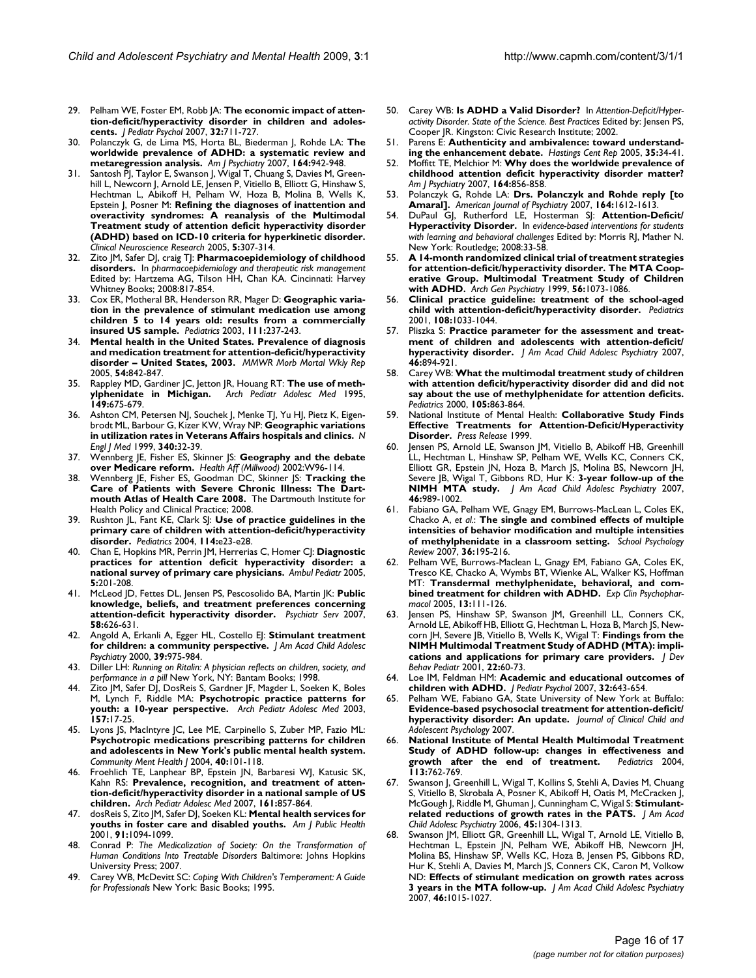- 29. Pelham WE, Foster EM, Robb JA: **[The economic impact of atten](http://www.ncbi.nlm.nih.gov/entrez/query.fcgi?cmd=Retrieve&db=PubMed&dopt=Abstract&list_uids=17556402)[tion-deficit/hyperactivity disorder in children and adoles](http://www.ncbi.nlm.nih.gov/entrez/query.fcgi?cmd=Retrieve&db=PubMed&dopt=Abstract&list_uids=17556402)[cents.](http://www.ncbi.nlm.nih.gov/entrez/query.fcgi?cmd=Retrieve&db=PubMed&dopt=Abstract&list_uids=17556402)** *J Pediatr Psychol* 2007, **32:**711-727.
- 30. Polanczyk G, de Lima MS, Horta BL, Biederman J, Rohde LA: **[The](http://www.ncbi.nlm.nih.gov/entrez/query.fcgi?cmd=Retrieve&db=PubMed&dopt=Abstract&list_uids=17541055) [worldwide prevalence of ADHD: a systematic review and](http://www.ncbi.nlm.nih.gov/entrez/query.fcgi?cmd=Retrieve&db=PubMed&dopt=Abstract&list_uids=17541055) [metaregression analysis.](http://www.ncbi.nlm.nih.gov/entrez/query.fcgi?cmd=Retrieve&db=PubMed&dopt=Abstract&list_uids=17541055)** *Am J Psychiatry* 2007, **164:**942-948.
- 31. Santosh PJ, Taylor E, Swanson J, Wigal T, Chuang S, Davies M, Greenhill L, Newcorn J, Arnold LE, Jensen P, Vitiello B, Elliott G, Hinshaw S, Hechtman L, Abikoff H, Pelham W, Hoza B, Molina B, Wells K, Epstein J, Posner M: **Refining the diagnoses of inattention and overactivity syndromes: A reanalysis of the Multimodal Treatment study of attention deficit hyperactivity disorder (ADHD) based on ICD-10 criteria for hyperkinetic disorder.** *Clinical Neuroscience Research* 2005, **5:**307-314.
- 32. Zito JM, Safer DJ, craig TJ: **Pharmacoepidemiology of childhood disorders.** In *pharmacoepidemiology and therapeutic risk management* Edited by: Hartzema AG, Tilson HH, Chan KA. Cincinnati: Harvey Whitney Books; 2008:817-854.
- 33. Cox ER, Motheral BR, Henderson RR, Mager D: **[Geographic varia](http://www.ncbi.nlm.nih.gov/entrez/query.fcgi?cmd=Retrieve&db=PubMed&dopt=Abstract&list_uids=12563045)[tion in the prevalence of stimulant medication use among](http://www.ncbi.nlm.nih.gov/entrez/query.fcgi?cmd=Retrieve&db=PubMed&dopt=Abstract&list_uids=12563045) children 5 to 14 years old: results from a commercially [insured US sample.](http://www.ncbi.nlm.nih.gov/entrez/query.fcgi?cmd=Retrieve&db=PubMed&dopt=Abstract&list_uids=12563045)** *Pediatrics* 2003, **111:**237-243.
- <span id="page-15-0"></span>34. **[Mental health in the United States. Prevalence of diagnosis](http://www.ncbi.nlm.nih.gov/entrez/query.fcgi?cmd=Retrieve&db=PubMed&dopt=Abstract&list_uids=16138075) [and medication treatment for attention-deficit/hyperactivity](http://www.ncbi.nlm.nih.gov/entrez/query.fcgi?cmd=Retrieve&db=PubMed&dopt=Abstract&list_uids=16138075) [disorder – United States, 2003.](http://www.ncbi.nlm.nih.gov/entrez/query.fcgi?cmd=Retrieve&db=PubMed&dopt=Abstract&list_uids=16138075)** *MMWR Morb Mortal Wkly Rep* 2005, **54:**842-847.
- 35. Rappley MD, Gardiner JC, Jetton JR, Houang RT: **[The use of meth](http://www.ncbi.nlm.nih.gov/entrez/query.fcgi?cmd=Retrieve&db=PubMed&dopt=Abstract&list_uids=7767425)[ylphenidate in Michigan.](http://www.ncbi.nlm.nih.gov/entrez/query.fcgi?cmd=Retrieve&db=PubMed&dopt=Abstract&list_uids=7767425)** *Arch Pediatr Adolesc Med* 1995, **149:**675-679.
- 36. Ashton CM, Petersen NJ, Souchek J, Menke TJ, Yu HJ, Pietz K, Eigenbrodt ML, Barbour G, Kizer KW, Wray NP: **[Geographic variations](http://www.ncbi.nlm.nih.gov/entrez/query.fcgi?cmd=Retrieve&db=PubMed&dopt=Abstract&list_uids=9878643) [in utilization rates in Veterans Affairs hospitals and clinics.](http://www.ncbi.nlm.nih.gov/entrez/query.fcgi?cmd=Retrieve&db=PubMed&dopt=Abstract&list_uids=9878643)** *N Engl J Med* 1999, **340:**32-39.
- 37. Wennberg JE, Fisher ES, Skinner JS: **[Geography and the debate](http://www.ncbi.nlm.nih.gov/entrez/query.fcgi?cmd=Retrieve&db=PubMed&dopt=Abstract&list_uids=12703563) [over Medicare reform.](http://www.ncbi.nlm.nih.gov/entrez/query.fcgi?cmd=Retrieve&db=PubMed&dopt=Abstract&list_uids=12703563)** *Health Aff (Millwood)* 2002:W96-114.
- 38. Wennberg JE, Fisher ES, Goodman DC, Skinner JS: **Tracking the Care of Patients with Severe Chronic Illness: The Dartmouth Atlas of Health Care 2008.** The Dartmouth Institute for Health Policy and Clinical Practice; 2008.
- 39. Rushton JL, Fant KE, Clark SJ: **[Use of practice guidelines in the](http://www.ncbi.nlm.nih.gov/entrez/query.fcgi?cmd=Retrieve&db=PubMed&dopt=Abstract&list_uids=15231969) [primary care of children with attention-deficit/hyperactivity](http://www.ncbi.nlm.nih.gov/entrez/query.fcgi?cmd=Retrieve&db=PubMed&dopt=Abstract&list_uids=15231969) [disorder.](http://www.ncbi.nlm.nih.gov/entrez/query.fcgi?cmd=Retrieve&db=PubMed&dopt=Abstract&list_uids=15231969)** *Pediatrics* 2004, **114:**e23-e28.
- 40. Chan E, Hopkins MR, Perrin JM, Herrerias C, Homer CJ: **[Diagnostic](http://www.ncbi.nlm.nih.gov/entrez/query.fcgi?cmd=Retrieve&db=PubMed&dopt=Abstract&list_uids=16026184) [practices for attention deficit hyperactivity disorder: a](http://www.ncbi.nlm.nih.gov/entrez/query.fcgi?cmd=Retrieve&db=PubMed&dopt=Abstract&list_uids=16026184) [national survey of primary care physicians.](http://www.ncbi.nlm.nih.gov/entrez/query.fcgi?cmd=Retrieve&db=PubMed&dopt=Abstract&list_uids=16026184)** *Ambul Pediatr* 2005, **5:**201-208.
- 41. McLeod JD, Fettes DL, Jensen PS, Pescosolido BA, Martin JK: **[Public](http://www.ncbi.nlm.nih.gov/entrez/query.fcgi?cmd=Retrieve&db=PubMed&dopt=Abstract&list_uids=17463342) [knowledge, beliefs, and treatment preferences concerning](http://www.ncbi.nlm.nih.gov/entrez/query.fcgi?cmd=Retrieve&db=PubMed&dopt=Abstract&list_uids=17463342) [attention-deficit hyperactivity disorder.](http://www.ncbi.nlm.nih.gov/entrez/query.fcgi?cmd=Retrieve&db=PubMed&dopt=Abstract&list_uids=17463342)** *Psychiatr Serv* 2007, **58:**626-631.
- 42. Angold A, Erkanli A, Egger HL, Costello EJ: **[Stimulant treatment](http://www.ncbi.nlm.nih.gov/entrez/query.fcgi?cmd=Retrieve&db=PubMed&dopt=Abstract&list_uids=10939226) [for children: a community perspective.](http://www.ncbi.nlm.nih.gov/entrez/query.fcgi?cmd=Retrieve&db=PubMed&dopt=Abstract&list_uids=10939226)** *J Am Acad Child Adolesc Psychiatry* 2000, **39:**975-984.
- 43. Diller LH: *Running on Ritalin: A physician reflects on children, society, and performance in a pill* New York, NY: Bantam Books; 1998.
- 44. Zito JM, Safer DJ, DosReis S, Gardner JF, Magder L, Soeken K, Boles M, Lynch F, Riddle MA: **[Psychotropic practice patterns for](http://www.ncbi.nlm.nih.gov/entrez/query.fcgi?cmd=Retrieve&db=PubMed&dopt=Abstract&list_uids=12517190) [youth: a 10-year perspective.](http://www.ncbi.nlm.nih.gov/entrez/query.fcgi?cmd=Retrieve&db=PubMed&dopt=Abstract&list_uids=12517190)** *Arch Pediatr Adolesc Med* 2003, **157:**17-25.
- 45. Lyons JS, MacIntyre JC, Lee ME, Carpinello S, Zuber MP, Fazio ML: **[Psychotropic medications prescribing patterns for children](http://www.ncbi.nlm.nih.gov/entrez/query.fcgi?cmd=Retrieve&db=PubMed&dopt=Abstract&list_uids=15206636) and adolescents in New York's public mental health system.** *Community Ment Health J* 2004, **40:**101-118.
- 46. Froehlich TE, Lanphear BP, Epstein JN, Barbaresi WJ, Katusic SK, Kahn RS: **[Prevalence, recognition, and treatment of atten](http://www.ncbi.nlm.nih.gov/entrez/query.fcgi?cmd=Retrieve&db=PubMed&dopt=Abstract&list_uids=17768285)[tion-deficit/hyperactivity disorder in a national sample of US](http://www.ncbi.nlm.nih.gov/entrez/query.fcgi?cmd=Retrieve&db=PubMed&dopt=Abstract&list_uids=17768285) [children.](http://www.ncbi.nlm.nih.gov/entrez/query.fcgi?cmd=Retrieve&db=PubMed&dopt=Abstract&list_uids=17768285)** *Arch Pediatr Adolesc Med* 2007, **161:**857-864.
- 47. dosReis S, Zito JM, Safer DJ, Soeken KL: **[Mental health services for](http://www.ncbi.nlm.nih.gov/entrez/query.fcgi?cmd=Retrieve&db=PubMed&dopt=Abstract&list_uids=11441737) [youths in foster care and disabled youths.](http://www.ncbi.nlm.nih.gov/entrez/query.fcgi?cmd=Retrieve&db=PubMed&dopt=Abstract&list_uids=11441737)** *Am J Public Health* 2001, **91:**1094-1099.
- 48. Conrad P: *The Medicalization of Society: On the Transformation of Human Conditions Into Treatable Disorders* Baltimore: Johns Hopkins University Press; 2007.
- 49. Carey WB, McDevitt SC: *Coping With Children's Temperament: A Guide for Professionals* New York: Basic Books; 1995.
- 50. Carey WB: **Is ADHD a Valid Disorder?** In *Attention-Deficit/Hyperactivity Disorder. State of the Science. Best Practices* Edited by: Jensen PS, Cooper JR. Kingston: Civic Research Institute; 2002.
- 51. Parens E: **[Authenticity and ambivalence: toward understand](http://www.ncbi.nlm.nih.gov/entrez/query.fcgi?cmd=Retrieve&db=PubMed&dopt=Abstract&list_uids=16092400)[ing the enhancement debate.](http://www.ncbi.nlm.nih.gov/entrez/query.fcgi?cmd=Retrieve&db=PubMed&dopt=Abstract&list_uids=16092400)** *Hastings Cent Rep* 2005, **35:**34-41.
- 52. Moffitt TE, Melchior M: **[Why does the worldwide prevalence of](http://www.ncbi.nlm.nih.gov/entrez/query.fcgi?cmd=Retrieve&db=PubMed&dopt=Abstract&list_uids=17541041) [childhood attention deficit hyperactivity disorder matter?](http://www.ncbi.nlm.nih.gov/entrez/query.fcgi?cmd=Retrieve&db=PubMed&dopt=Abstract&list_uids=17541041)** *Am J Psychiatry* 2007, **164:**856-858.
- 53. Polanczyk G, Rohde LA: **[Drs. Polanczyk and Rohde reply \[to](http://www.ncbi.nlm.nih.gov/entrez/query.fcgi?cmd=Retrieve&db=PubMed&dopt=Abstract&list_uids=17898357) [Amaral\].](http://www.ncbi.nlm.nih.gov/entrez/query.fcgi?cmd=Retrieve&db=PubMed&dopt=Abstract&list_uids=17898357)** *American Journal of Psychiatry* 2007, **164:**1612-1613.
- 54. DuPaul GJ, Rutherford LE, Hosterman SJ: **Attention-Deficit/ Hyperactivity Disorder.** In *evidence-based interventions for students with learning and behavioral challenges* Edited by: Morris RJ, Mather N. New York: Routledge; 2008:33-58.
- 55. **[A 14-month randomized clinical trial of treatment strategies](http://www.ncbi.nlm.nih.gov/entrez/query.fcgi?cmd=Retrieve&db=PubMed&dopt=Abstract&list_uids=10591283) [for attention-deficit/hyperactivity disorder. The MTA Coop](http://www.ncbi.nlm.nih.gov/entrez/query.fcgi?cmd=Retrieve&db=PubMed&dopt=Abstract&list_uids=10591283)erative Group. Multimodal Treatment Study of Children [with ADHD.](http://www.ncbi.nlm.nih.gov/entrez/query.fcgi?cmd=Retrieve&db=PubMed&dopt=Abstract&list_uids=10591283)** *Arch Gen Psychiatry* 1999, **56:**1073-1086.
- 56. **[Clinical practice guideline: treatment of the school-aged](http://www.ncbi.nlm.nih.gov/entrez/query.fcgi?cmd=Retrieve&db=PubMed&dopt=Abstract&list_uids=11581465) [child with attention-deficit/hyperactivity disorder.](http://www.ncbi.nlm.nih.gov/entrez/query.fcgi?cmd=Retrieve&db=PubMed&dopt=Abstract&list_uids=11581465)** *Pediatrics* 2001, **108:**1033-1044.
- 57. Pliszka S: **[Practice parameter for the assessment and treat](http://www.ncbi.nlm.nih.gov/entrez/query.fcgi?cmd=Retrieve&db=PubMed&dopt=Abstract&list_uids=17581453)[ment of children and adolescents with attention-deficit/](http://www.ncbi.nlm.nih.gov/entrez/query.fcgi?cmd=Retrieve&db=PubMed&dopt=Abstract&list_uids=17581453) [hyperactivity disorder.](http://www.ncbi.nlm.nih.gov/entrez/query.fcgi?cmd=Retrieve&db=PubMed&dopt=Abstract&list_uids=17581453)** *J Am Acad Child Adolesc Psychiatry* 2007, **46:**894-921.
- 58. Carey WB: **[What the multimodal treatment study of children](http://www.ncbi.nlm.nih.gov/entrez/query.fcgi?cmd=Retrieve&db=PubMed&dopt=Abstract&list_uids=10742336) [with attention deficit/hyperactivity disorder did and did not](http://www.ncbi.nlm.nih.gov/entrez/query.fcgi?cmd=Retrieve&db=PubMed&dopt=Abstract&list_uids=10742336) say about the use of methylphenidate for attention deficits.** *Pediatrics* 2000, **105:**863-864.
- 59. National Institute of Mental Health: **Collaborative Study Finds Effective Treatments for Attention-Deficit/Hyperactivity Disorder.** *Press Release* 1999.
- Jensen PS, Arnold LE, Swanson JM, Vitiello B, Abikoff HB, Greenhill LL, Hechtman L, Hinshaw SP, Pelham WE, Wells KC, Conners CK, Elliott GR, Epstein JN, Hoza B, March JS, Molina BS, Newcorn JH, Severe JB, Wigal T, Gibbons RD, Hur K: **[3-year follow-up of the](http://www.ncbi.nlm.nih.gov/entrez/query.fcgi?cmd=Retrieve&db=PubMed&dopt=Abstract&list_uids=17667478) [NIMH MTA study.](http://www.ncbi.nlm.nih.gov/entrez/query.fcgi?cmd=Retrieve&db=PubMed&dopt=Abstract&list_uids=17667478)** *J Am Acad Child Adolesc Psychiatry* 2007, **46:**989-1002.
- Fabiano GA, Pelham WE, Gnagy EM, Burrows-MacLean L, Coles EK, Chacko A, *et al.*: **The single and combined effects of multiple intensities of behavior modification and multiple intensities of methylphenidate in a classroom setting.** *School Psychology Review* 2007, **36:**195-216.
- 62. Pelham WE, Burrows-Maclean L, Gnagy EM, Fabiano GA, Coles EK, Tresco KE, Chacko A, Wymbs BT, Wienke AL, Walker KS, Hoffman MT: **[Transdermal methylphenidate, behavioral, and com](http://www.ncbi.nlm.nih.gov/entrez/query.fcgi?cmd=Retrieve&db=PubMed&dopt=Abstract&list_uids=15943544)[bined treatment for children with ADHD.](http://www.ncbi.nlm.nih.gov/entrez/query.fcgi?cmd=Retrieve&db=PubMed&dopt=Abstract&list_uids=15943544)** *Exp Clin Psychopharmacol* 2005, **13:**111-126.
- 63. Jensen PS, Hinshaw SP, Swanson JM, Greenhill LL, Conners CK, Arnold LE, Abikoff HB, Elliott G, Hechtman L, Hoza B, March JS, Newcorn JH, Severe JB, Vitiello B, Wells K, Wigal T: **[Findings from the](http://www.ncbi.nlm.nih.gov/entrez/query.fcgi?cmd=Retrieve&db=PubMed&dopt=Abstract&list_uids=11265923) [NIMH Multimodal Treatment Study of ADHD \(MTA\): impli](http://www.ncbi.nlm.nih.gov/entrez/query.fcgi?cmd=Retrieve&db=PubMed&dopt=Abstract&list_uids=11265923)[cations and applications for primary care providers.](http://www.ncbi.nlm.nih.gov/entrez/query.fcgi?cmd=Retrieve&db=PubMed&dopt=Abstract&list_uids=11265923)** *J Dev Behav Pediatr* 2001, **22:**60-73.
- 64. Loe IM, Feldman HM: **[Academic and educational outcomes of](http://www.ncbi.nlm.nih.gov/entrez/query.fcgi?cmd=Retrieve&db=PubMed&dopt=Abstract&list_uids=17569716) [children with ADHD.](http://www.ncbi.nlm.nih.gov/entrez/query.fcgi?cmd=Retrieve&db=PubMed&dopt=Abstract&list_uids=17569716)** *J Pediatr Psychol* 2007, **32:**643-654.
- 65. Pelham WE, Fabiano GA, State University of New York at Buffalo: **Evidence-based psychosocial treatment for attention-deficit/ hyperactivity disorder: An update.** *Journal of Clinical Child and Adolescent Psychology* 2007.
- 66. **[National Institute of Mental Health Multimodal Treatment](http://www.ncbi.nlm.nih.gov/entrez/query.fcgi?cmd=Retrieve&db=PubMed&dopt=Abstract&list_uids=15060225) [Study of ADHD follow-up: changes in effectiveness and](http://www.ncbi.nlm.nih.gov/entrez/query.fcgi?cmd=Retrieve&db=PubMed&dopt=Abstract&list_uids=15060225) growth after the end of treatment.** Pediatrics 2004. [growth after the end of treatment.](http://www.ncbi.nlm.nih.gov/entrez/query.fcgi?cmd=Retrieve&db=PubMed&dopt=Abstract&list_uids=15060225) **113:**762-769.
- 67. Swanson J, Greenhill L, Wigal T, Kollins S, Stehli A, Davies M, Chuang S, Vitiello B, Skrobala A, Posner K, Abikoff H, Oatis M, McCracken J, McGough J, Riddle M, Ghuman J, Cunningham C, Wigal S: **[Stimulant](http://www.ncbi.nlm.nih.gov/entrez/query.fcgi?cmd=Retrieve&db=PubMed&dopt=Abstract&list_uids=17023868)[related reductions of growth rates in the PATS.](http://www.ncbi.nlm.nih.gov/entrez/query.fcgi?cmd=Retrieve&db=PubMed&dopt=Abstract&list_uids=17023868)** *J Am Acad Child Adolesc Psychiatry* 2006, **45:**1304-1313.
- 68. Swanson JM, Elliott GR, Greenhill LL, Wigal T, Arnold LE, Vitiello B, Hechtman L, Epstein JN, Pelham WE, Abikoff HB, Newcorn JH, Molina BS, Hinshaw SP, Wells KC, Hoza B, Jensen PS, Gibbons RD, Hur K, Stehli A, Davies M, March JS, Conners CK, Caron M, Volkow ND: **[Effects of stimulant medication on growth rates across](http://www.ncbi.nlm.nih.gov/entrez/query.fcgi?cmd=Retrieve&db=PubMed&dopt=Abstract&list_uids=17667480) [3 years in the MTA follow-up.](http://www.ncbi.nlm.nih.gov/entrez/query.fcgi?cmd=Retrieve&db=PubMed&dopt=Abstract&list_uids=17667480)** *J Am Acad Child Adolesc Psychiatry* 2007, **46:**1015-1027.